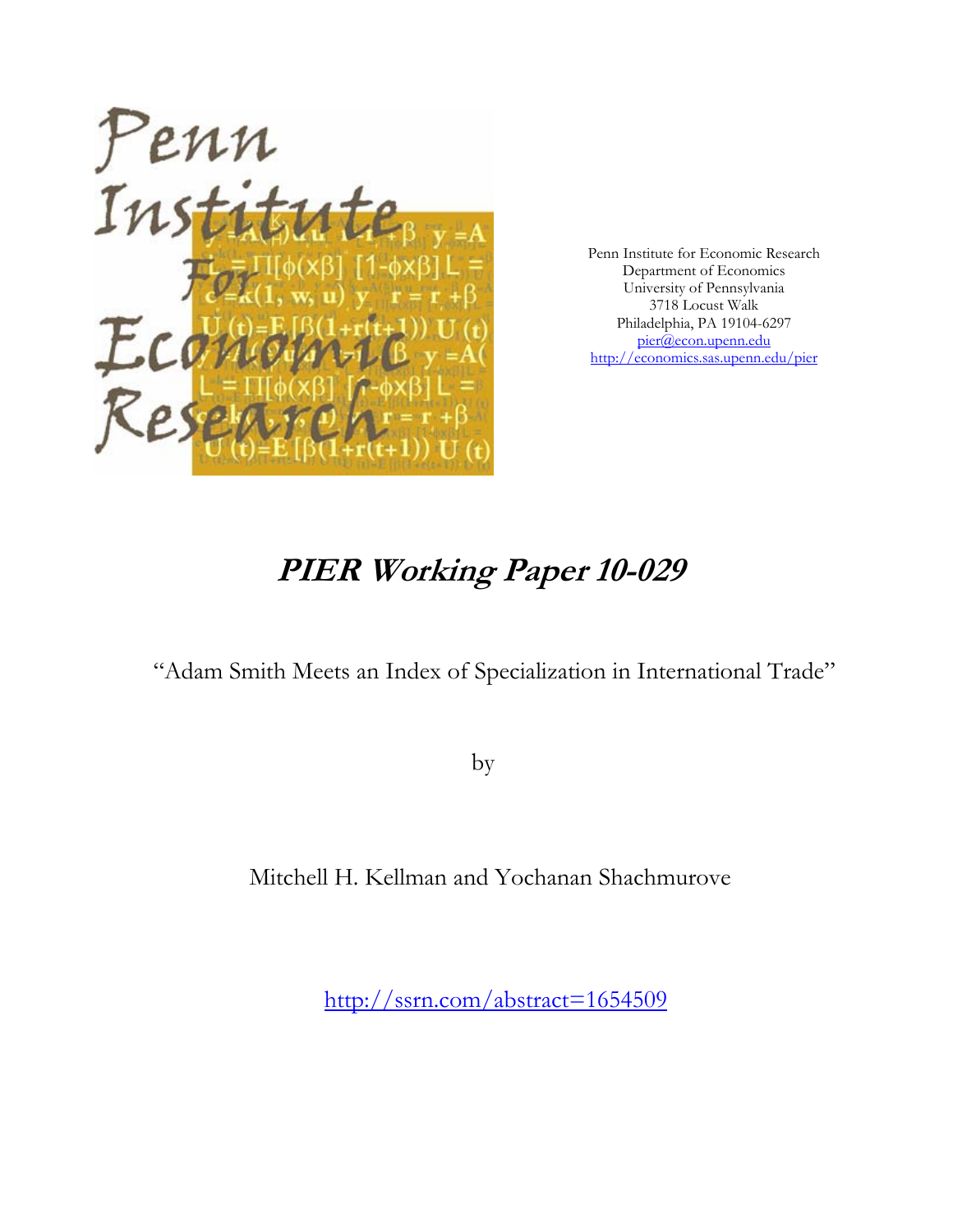

Penn Institute for Economic Research Department of Economics University of Pennsylvania 3718 Locust Walk Philadelphia, PA 19104-6297 pier@econ.upenn.edu http://economics.sas.upenn.edu/pier

# **PIER Working Paper 10-029**

"Adam Smith Meets an Index of Specialization in International Trade"

by

Mitchell H. Kellman and Yochanan Shachmurove

http://ssrn.com/abstract=1654509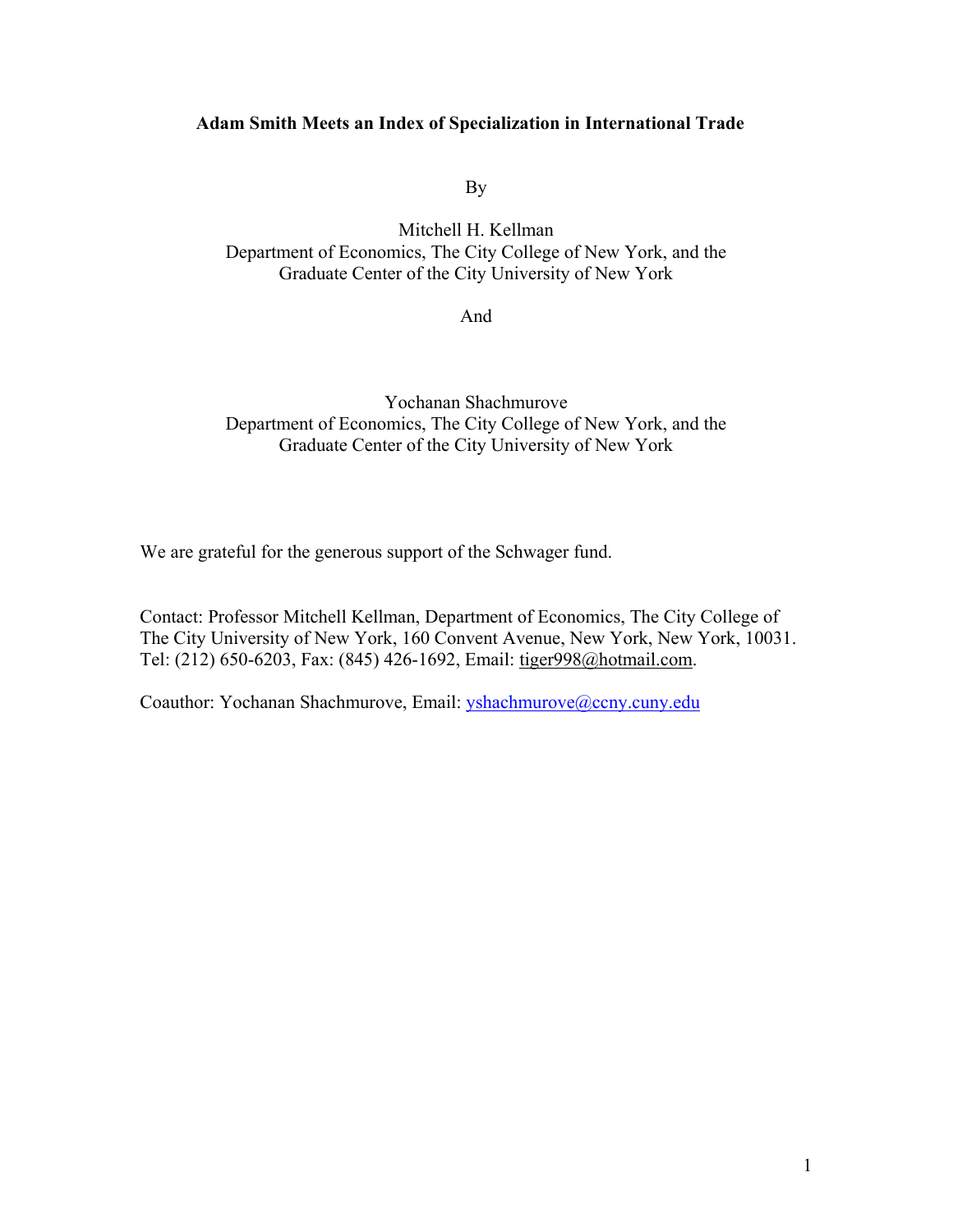# **Adam Smith Meets an Index of Specialization in International Trade**

By

Mitchell H. Kellman Department of Economics, The City College of New York, and the Graduate Center of the City University of New York

And

Yochanan Shachmurove Department of Economics, The City College of New York, and the Graduate Center of the City University of New York

We are grateful for the generous support of the Schwager fund.

Contact: Professor Mitchell Kellman, Department of Economics, The City College of The City University of New York, 160 Convent Avenue, New York, New York, 10031. Tel: (212) 650-6203, Fax: (845) 426-1692, Email: tiger998@hotmail.com.

Coauthor: Yochanan Shachmurove, Email: yshachmurove@ccny.cuny.edu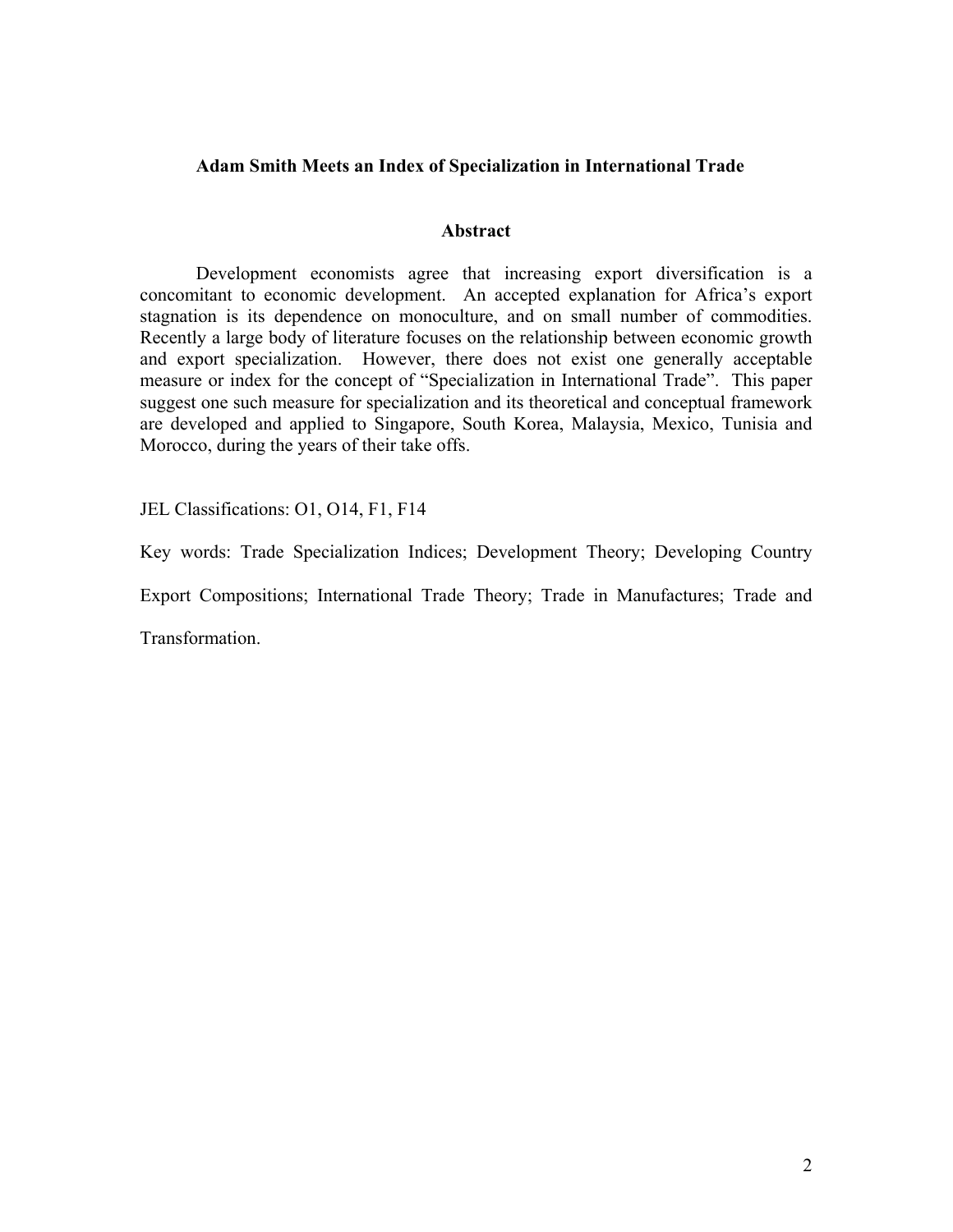# **Adam Smith Meets an Index of Specialization in International Trade**

## **Abstract**

Development economists agree that increasing export diversification is a concomitant to economic development. An accepted explanation for Africa's export stagnation is its dependence on monoculture, and on small number of commodities. Recently a large body of literature focuses on the relationship between economic growth and export specialization. However, there does not exist one generally acceptable measure or index for the concept of "Specialization in International Trade". This paper suggest one such measure for specialization and its theoretical and conceptual framework are developed and applied to Singapore, South Korea, Malaysia, Mexico, Tunisia and Morocco, during the years of their take offs.

JEL Classifications: O1, O14, F1, F14

Key words: Trade Specialization Indices; Development Theory; Developing Country

Export Compositions; International Trade Theory; Trade in Manufactures; Trade and

Transformation.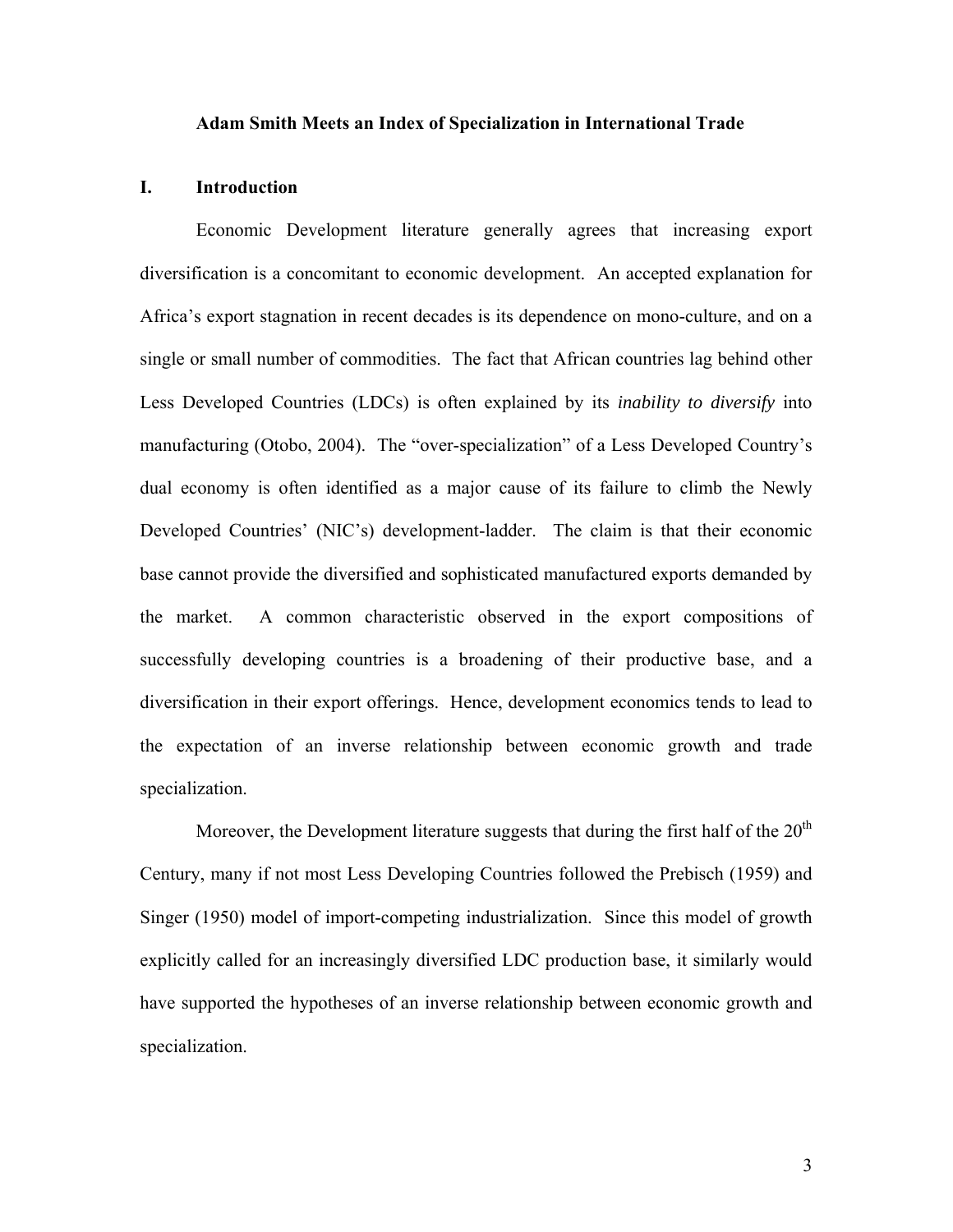#### **Adam Smith Meets an Index of Specialization in International Trade**

#### **I. Introduction**

Economic Development literature generally agrees that increasing export diversification is a concomitant to economic development. An accepted explanation for Africa's export stagnation in recent decades is its dependence on mono-culture, and on a single or small number of commodities. The fact that African countries lag behind other Less Developed Countries (LDCs) is often explained by its *inability to diversify* into manufacturing (Otobo, 2004). The "over-specialization" of a Less Developed Country's dual economy is often identified as a major cause of its failure to climb the Newly Developed Countries' (NIC's) development-ladder. The claim is that their economic base cannot provide the diversified and sophisticated manufactured exports demanded by the market. A common characteristic observed in the export compositions of successfully developing countries is a broadening of their productive base, and a diversification in their export offerings. Hence, development economics tends to lead to the expectation of an inverse relationship between economic growth and trade specialization.

Moreover, the Development literature suggests that during the first half of the  $20<sup>th</sup>$ Century, many if not most Less Developing Countries followed the Prebisch (1959) and Singer (1950) model of import-competing industrialization. Since this model of growth explicitly called for an increasingly diversified LDC production base, it similarly would have supported the hypotheses of an inverse relationship between economic growth and specialization.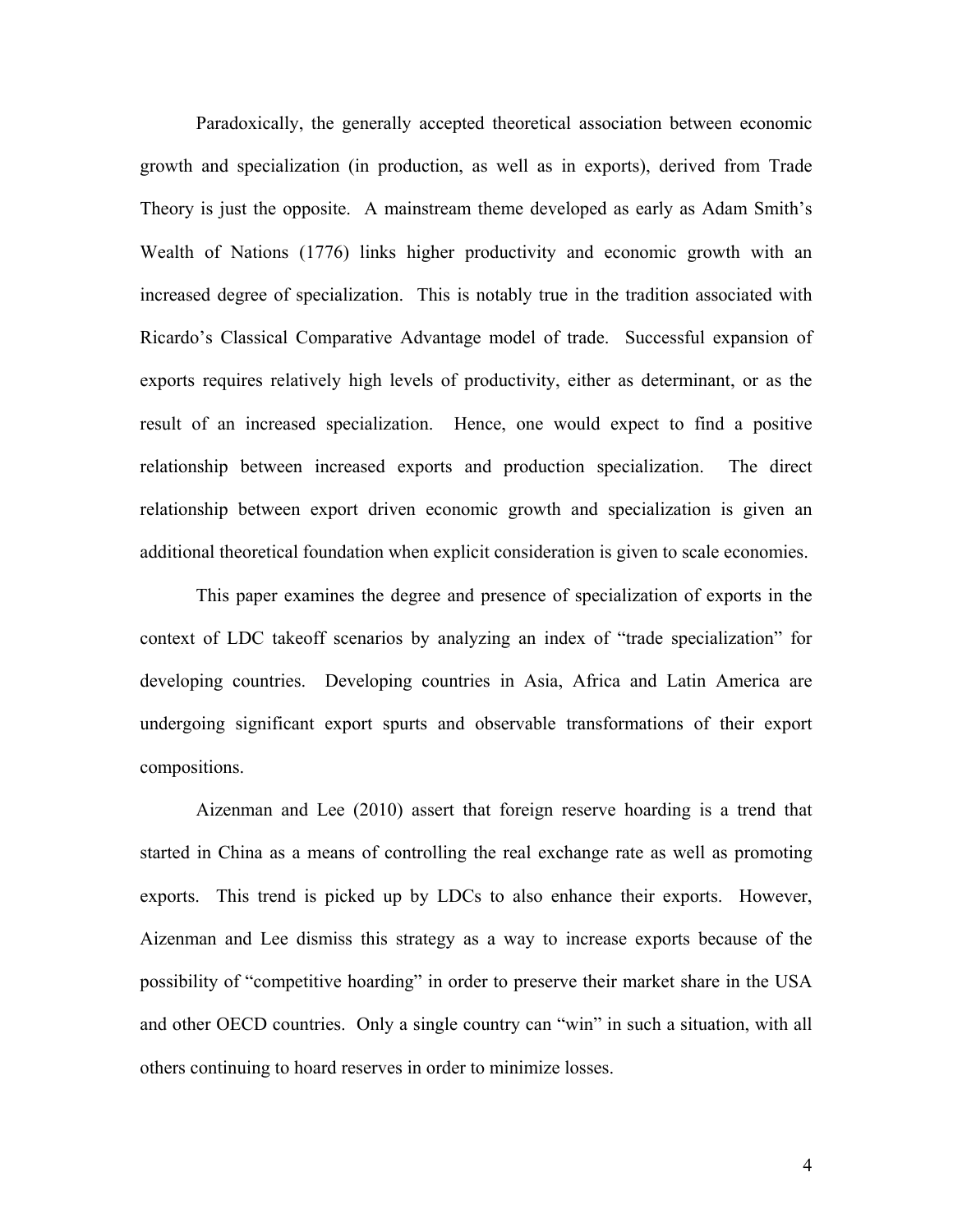Paradoxically, the generally accepted theoretical association between economic growth and specialization (in production, as well as in exports), derived from Trade Theory is just the opposite. A mainstream theme developed as early as Adam Smith's Wealth of Nations (1776) links higher productivity and economic growth with an increased degree of specialization. This is notably true in the tradition associated with Ricardo's Classical Comparative Advantage model of trade. Successful expansion of exports requires relatively high levels of productivity, either as determinant, or as the result of an increased specialization. Hence, one would expect to find a positive relationship between increased exports and production specialization. The direct relationship between export driven economic growth and specialization is given an additional theoretical foundation when explicit consideration is given to scale economies.

This paper examines the degree and presence of specialization of exports in the context of LDC takeoff scenarios by analyzing an index of "trade specialization" for developing countries. Developing countries in Asia, Africa and Latin America are undergoing significant export spurts and observable transformations of their export compositions.

Aizenman and Lee (2010) assert that foreign reserve hoarding is a trend that started in China as a means of controlling the real exchange rate as well as promoting exports. This trend is picked up by LDCs to also enhance their exports. However, Aizenman and Lee dismiss this strategy as a way to increase exports because of the possibility of "competitive hoarding" in order to preserve their market share in the USA and other OECD countries. Only a single country can "win" in such a situation, with all others continuing to hoard reserves in order to minimize losses.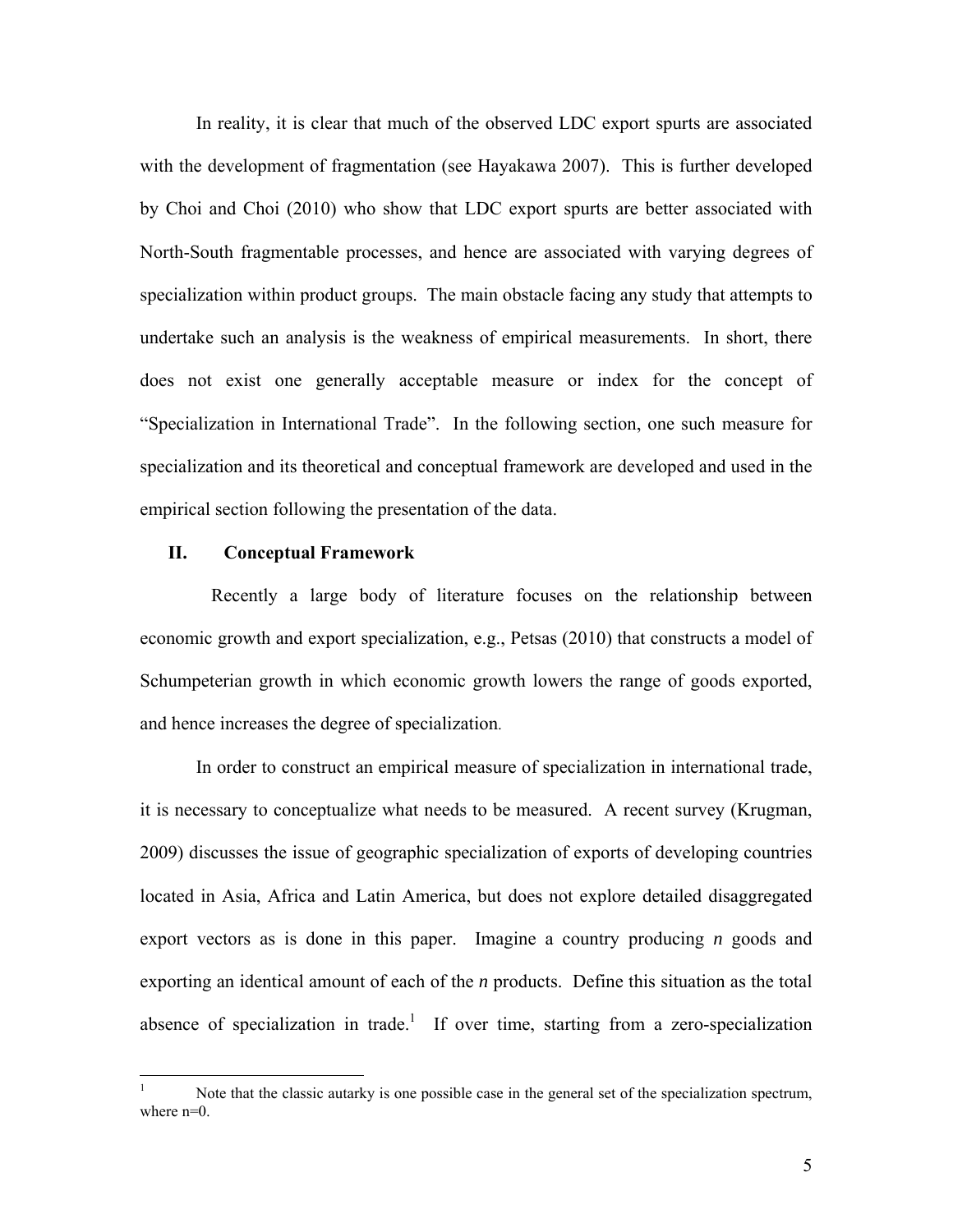In reality, it is clear that much of the observed LDC export spurts are associated with the development of fragmentation (see Hayakawa 2007). This is further developed by Choi and Choi (2010) who show that LDC export spurts are better associated with North-South fragmentable processes, and hence are associated with varying degrees of specialization within product groups. The main obstacle facing any study that attempts to undertake such an analysis is the weakness of empirical measurements. In short, there does not exist one generally acceptable measure or index for the concept of "Specialization in International Trade". In the following section, one such measure for specialization and its theoretical and conceptual framework are developed and used in the empirical section following the presentation of the data.

#### **II. Conceptual Framework**

1

Recently a large body of literature focuses on the relationship between economic growth and export specialization, e.g., Petsas (2010) that constructs a model of Schumpeterian growth in which economic growth lowers the range of goods exported, and hence increases the degree of specialization.

 In order to construct an empirical measure of specialization in international trade, it is necessary to conceptualize what needs to be measured. A recent survey (Krugman, 2009) discusses the issue of geographic specialization of exports of developing countries located in Asia, Africa and Latin America, but does not explore detailed disaggregated export vectors as is done in this paper. Imagine a country producing *n* goods and exporting an identical amount of each of the *n* products. Define this situation as the total absence of specialization in trade.<sup>1</sup> If over time, starting from a zero-specialization

<sup>1</sup> Note that the classic autarky is one possible case in the general set of the specialization spectrum, where n=0.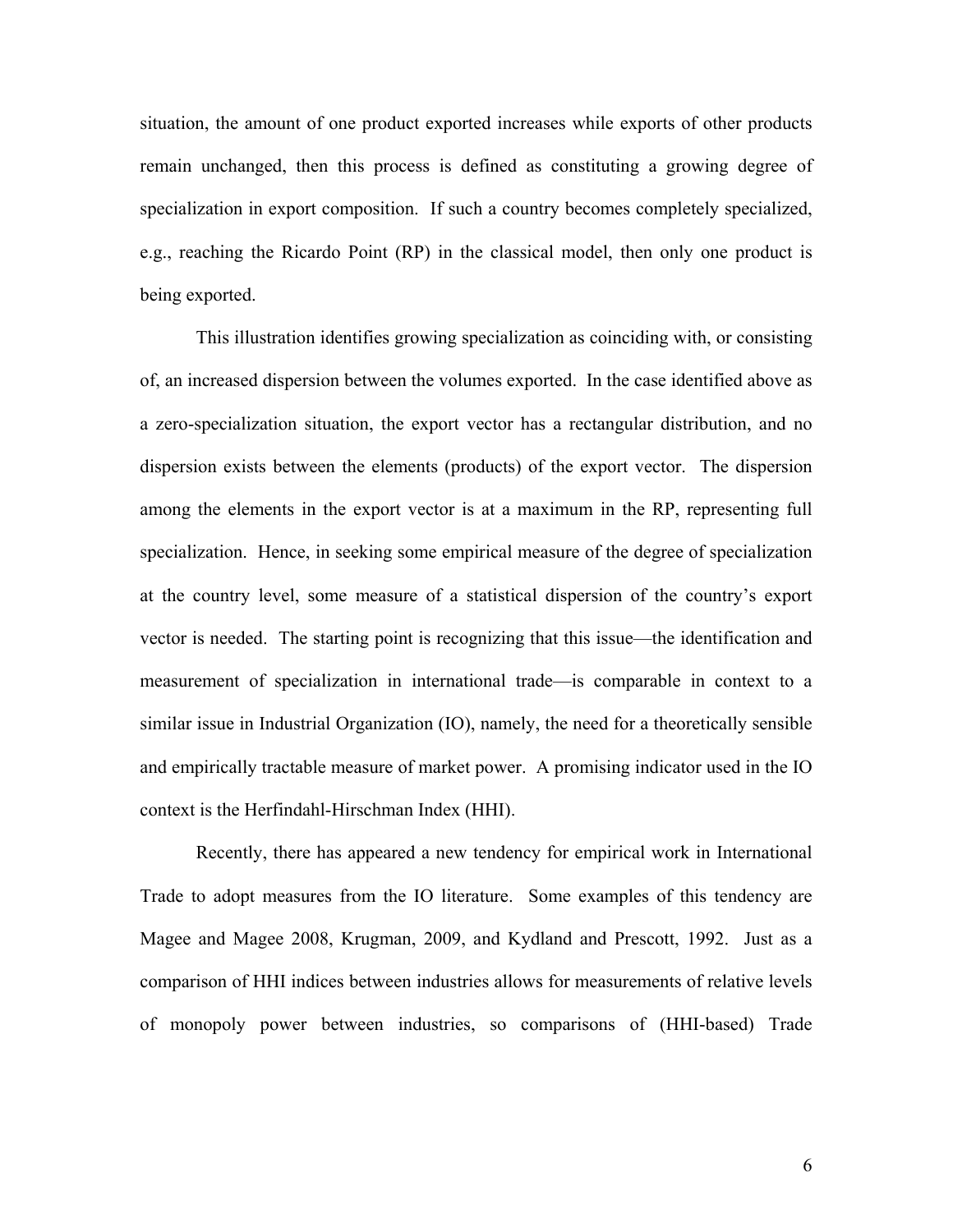situation, the amount of one product exported increases while exports of other products remain unchanged, then this process is defined as constituting a growing degree of specialization in export composition. If such a country becomes completely specialized, e.g., reaching the Ricardo Point (RP) in the classical model, then only one product is being exported.

This illustration identifies growing specialization as coinciding with, or consisting of, an increased dispersion between the volumes exported. In the case identified above as a zero-specialization situation, the export vector has a rectangular distribution, and no dispersion exists between the elements (products) of the export vector. The dispersion among the elements in the export vector is at a maximum in the RP, representing full specialization. Hence, in seeking some empirical measure of the degree of specialization at the country level, some measure of a statistical dispersion of the country's export vector is needed. The starting point is recognizing that this issue—the identification and measurement of specialization in international trade—is comparable in context to a similar issue in Industrial Organization (IO), namely, the need for a theoretically sensible and empirically tractable measure of market power. A promising indicator used in the IO context is the Herfindahl-Hirschman Index (HHI).

Recently, there has appeared a new tendency for empirical work in International Trade to adopt measures from the IO literature. Some examples of this tendency are Magee and Magee 2008, Krugman, 2009, and Kydland and Prescott, 1992. Just as a comparison of HHI indices between industries allows for measurements of relative levels of monopoly power between industries, so comparisons of (HHI-based) Trade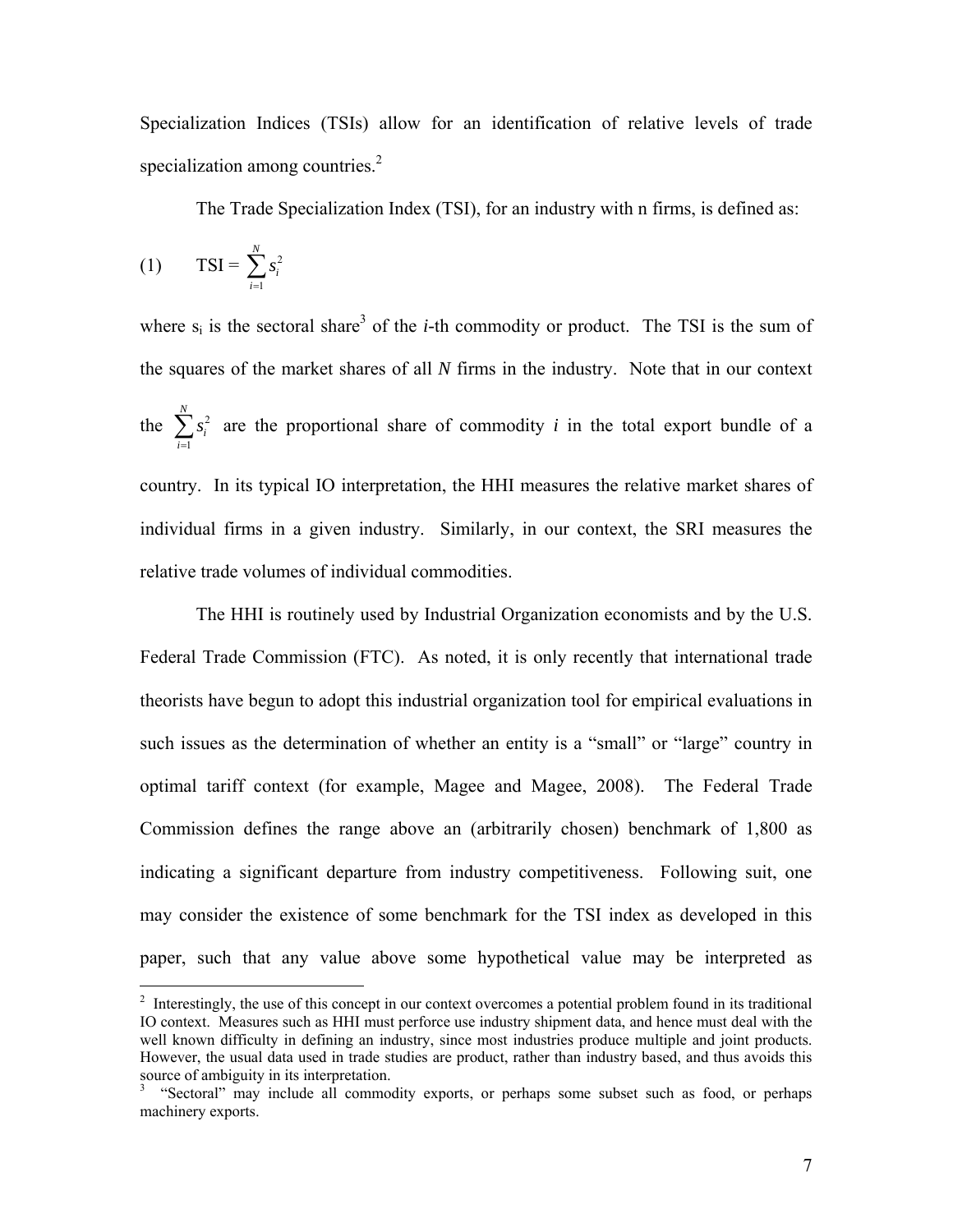Specialization Indices (TSIs) allow for an identification of relative levels of trade specialization among countries.<sup>2</sup>

The Trade Specialization Index (TSI), for an industry with n firms, is defined as:

$$
(1) \qquad \text{TSI} = \sum_{i=1}^{N} s_i^2
$$

 $\overline{a}$ 

where  $s_i$  is the sectoral share<sup>3</sup> of the *i*-th commodity or product. The TSI is the sum of the squares of the market shares of all *N* firms in the industry. Note that in our context the  $\sum s_i^2$ 1 *N i i s*  $\sum_{i=1} s_i^2$  are the proportional share of commodity *i* in the total export bundle of a country. In its typical IO interpretation, the HHI measures the relative market shares of individual firms in a given industry. Similarly, in our context, the SRI measures the relative trade volumes of individual commodities.

 The HHI is routinely used by Industrial Organization economists and by the U.S. Federal Trade Commission (FTC). As noted, it is only recently that international trade theorists have begun to adopt this industrial organization tool for empirical evaluations in such issues as the determination of whether an entity is a "small" or "large" country in optimal tariff context (for example, Magee and Magee, 2008). The Federal Trade Commission defines the range above an (arbitrarily chosen) benchmark of 1,800 as indicating a significant departure from industry competitiveness. Following suit, one may consider the existence of some benchmark for the TSI index as developed in this paper, such that any value above some hypothetical value may be interpreted as

 $2<sup>2</sup>$  Interestingly, the use of this concept in our context overcomes a potential problem found in its traditional IO context. Measures such as HHI must perforce use industry shipment data, and hence must deal with the well known difficulty in defining an industry, since most industries produce multiple and joint products. However, the usual data used in trade studies are product, rather than industry based, and thus avoids this source of ambiguity in its interpretation.

<sup>&</sup>lt;sup>3</sup> "Sectoral" may include all commodity exports, or perhaps some subset such as food, or perhaps machinery exports.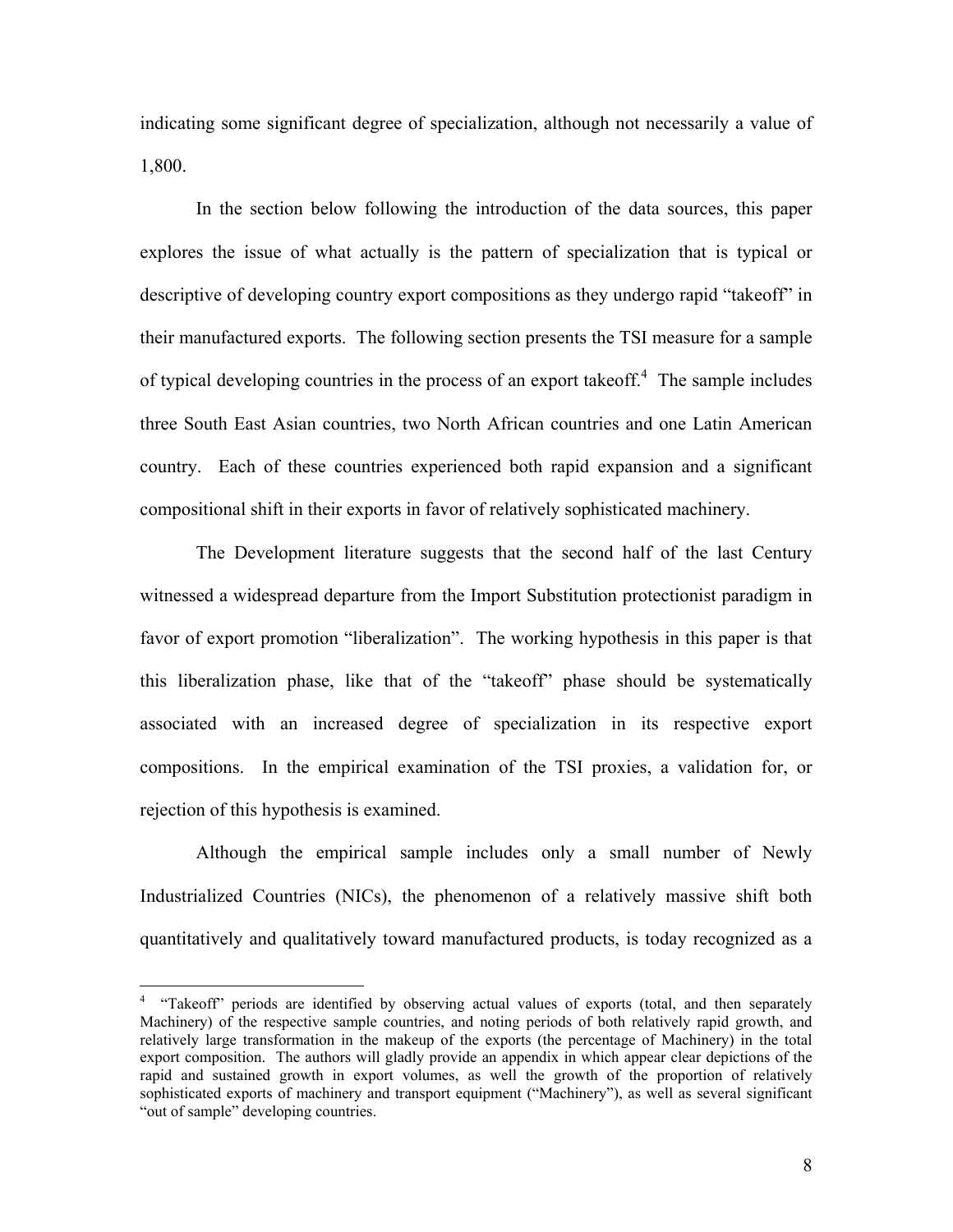indicating some significant degree of specialization, although not necessarily a value of 1,800.

 In the section below following the introduction of the data sources, this paper explores the issue of what actually is the pattern of specialization that is typical or descriptive of developing country export compositions as they undergo rapid "takeoff" in their manufactured exports. The following section presents the TSI measure for a sample of typical developing countries in the process of an export takeoff. $4$  The sample includes three South East Asian countries, two North African countries and one Latin American country. Each of these countries experienced both rapid expansion and a significant compositional shift in their exports in favor of relatively sophisticated machinery.

The Development literature suggests that the second half of the last Century witnessed a widespread departure from the Import Substitution protectionist paradigm in favor of export promotion "liberalization". The working hypothesis in this paper is that this liberalization phase, like that of the "takeoff" phase should be systematically associated with an increased degree of specialization in its respective export compositions. In the empirical examination of the TSI proxies, a validation for, or rejection of this hypothesis is examined.

Although the empirical sample includes only a small number of Newly Industrialized Countries (NICs), the phenomenon of a relatively massive shift both quantitatively and qualitatively toward manufactured products, is today recognized as a

 4 "Takeoff" periods are identified by observing actual values of exports (total, and then separately Machinery) of the respective sample countries, and noting periods of both relatively rapid growth, and relatively large transformation in the makeup of the exports (the percentage of Machinery) in the total export composition. The authors will gladly provide an appendix in which appear clear depictions of the rapid and sustained growth in export volumes, as well the growth of the proportion of relatively sophisticated exports of machinery and transport equipment ("Machinery"), as well as several significant "out of sample" developing countries.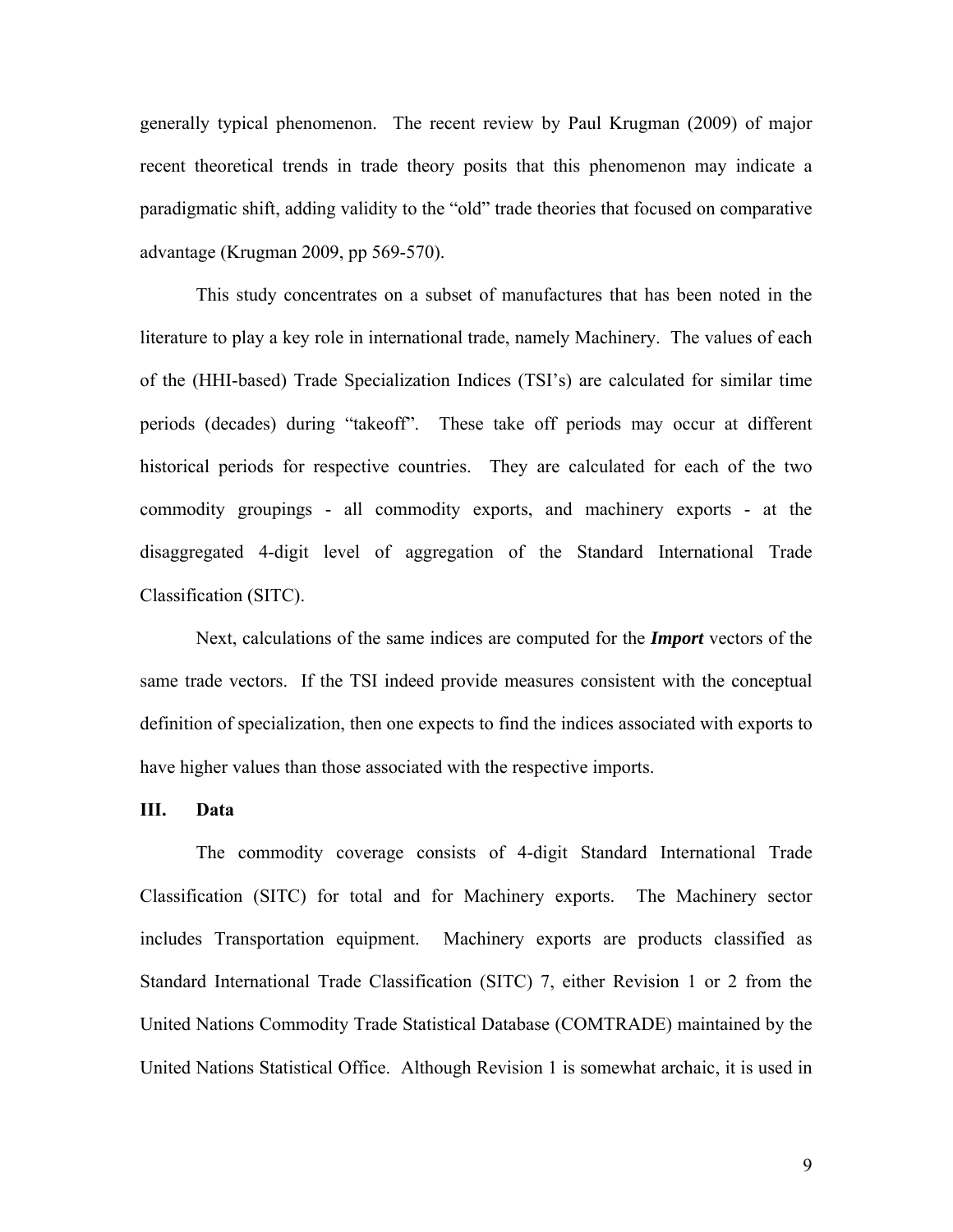generally typical phenomenon. The recent review by Paul Krugman (2009) of major recent theoretical trends in trade theory posits that this phenomenon may indicate a paradigmatic shift, adding validity to the "old" trade theories that focused on comparative advantage (Krugman 2009, pp 569-570).

 This study concentrates on a subset of manufactures that has been noted in the literature to play a key role in international trade, namely Machinery. The values of each of the (HHI-based) Trade Specialization Indices (TSI's) are calculated for similar time periods (decades) during "takeoff". These take off periods may occur at different historical periods for respective countries. They are calculated for each of the two commodity groupings - all commodity exports, and machinery exports - at the disaggregated 4-digit level of aggregation of the Standard International Trade Classification (SITC).

Next, calculations of the same indices are computed for the *Import* vectors of the same trade vectors. If the TSI indeed provide measures consistent with the conceptual definition of specialization, then one expects to find the indices associated with exports to have higher values than those associated with the respective imports.

#### **III. Data**

The commodity coverage consists of 4-digit Standard International Trade Classification (SITC) for total and for Machinery exports. The Machinery sector includes Transportation equipment. Machinery exports are products classified as Standard International Trade Classification (SITC) 7, either Revision 1 or 2 from the United Nations Commodity Trade Statistical Database (COMTRADE) maintained by the United Nations Statistical Office. Although Revision 1 is somewhat archaic, it is used in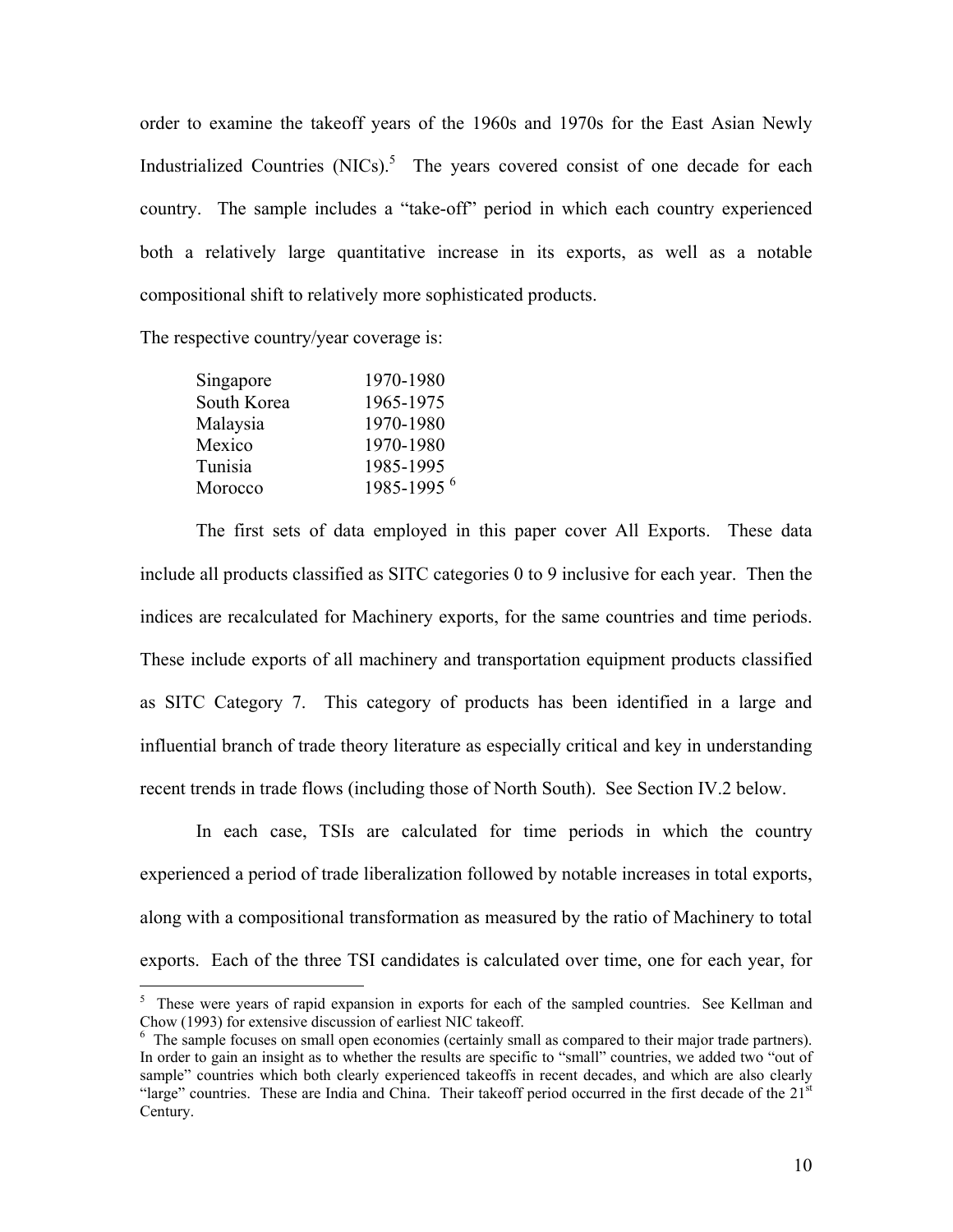order to examine the takeoff years of the 1960s and 1970s for the East Asian Newly Industrialized Countries  $(NICs)$ .<sup>5</sup> The years covered consist of one decade for each country. The sample includes a "take-off" period in which each country experienced both a relatively large quantitative increase in its exports, as well as a notable compositional shift to relatively more sophisticated products.

The respective country/year coverage is:

| 1970-1980                  |
|----------------------------|
| 1965-1975                  |
| 1970-1980                  |
| 1970-1980                  |
| 1985-1995                  |
| $1985 - 1995$ <sup>6</sup> |
|                            |

The first sets of data employed in this paper cover All Exports. These data include all products classified as SITC categories 0 to 9 inclusive for each year. Then the indices are recalculated for Machinery exports, for the same countries and time periods. These include exports of all machinery and transportation equipment products classified as SITC Category 7. This category of products has been identified in a large and influential branch of trade theory literature as especially critical and key in understanding recent trends in trade flows (including those of North South). See Section IV.2 below.

In each case, TSIs are calculated for time periods in which the country experienced a period of trade liberalization followed by notable increases in total exports, along with a compositional transformation as measured by the ratio of Machinery to total exports. Each of the three TSI candidates is calculated over time, one for each year, for

<sup>&</sup>lt;sup>5</sup> These were years of rapid expansion in exports for each of the sampled countries. See Kellman and Chow (1993) for extensive discussion of earliest NIC takeoff.

<sup>&</sup>lt;sup>6</sup> The sample focuses on small open economies (certainly small as compared to their major trade partners). In order to gain an insight as to whether the results are specific to "small" countries, we added two "out of sample" countries which both clearly experienced takeoffs in recent decades, and which are also clearly "large" countries. These are India and China. Their takeoff period occurred in the first decade of the 21<sup>st</sup> Century.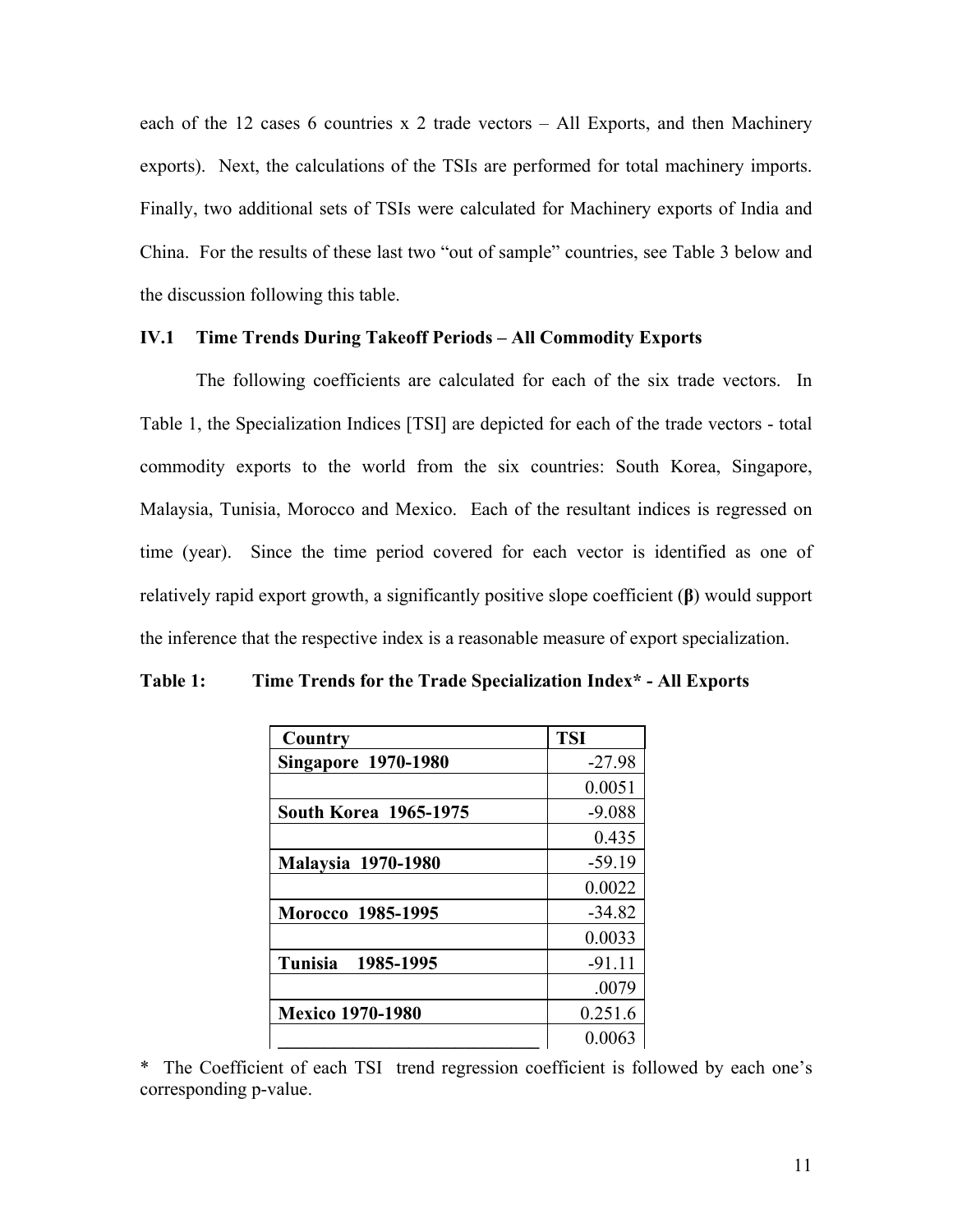each of the 12 cases 6 countries x 2 trade vectors – All Exports, and then Machinery exports). Next, the calculations of the TSIs are performed for total machinery imports. Finally, two additional sets of TSIs were calculated for Machinery exports of India and China. For the results of these last two "out of sample" countries, see Table 3 below and the discussion following this table.

## **IV.1 Time Trends During Takeoff Periods – All Commodity Exports**

The following coefficients are calculated for each of the six trade vectors. In Table 1, the Specialization Indices [TSI] are depicted for each of the trade vectors - total commodity exports to the world from the six countries: South Korea, Singapore, Malaysia, Tunisia, Morocco and Mexico. Each of the resultant indices is regressed on time (year). Since the time period covered for each vector is identified as one of relatively rapid export growth, a significantly positive slope coefficient (**β**) would support the inference that the respective index is a reasonable measure of export specialization.

| Country                      | <b>TSI</b> |
|------------------------------|------------|
| <b>Singapore 1970-1980</b>   | $-27.98$   |
|                              | 0.0051     |
| <b>South Korea 1965-1975</b> | $-9.088$   |
|                              | 0.435      |
| <b>Malaysia 1970-1980</b>    | $-59.19$   |
|                              | 0.0022     |
| Morocco 1985-1995            | $-34.82$   |
|                              | 0.0033     |
| Tunisia<br>1985-1995         | $-91.11$   |
|                              | .0079      |
| <b>Mexico 1970-1980</b>      | 0.251.6    |
|                              | 0.0063     |

**Table 1: Time Trends for the Trade Specialization Index\* - All Exports** 

\* The Coefficient of each TSI trend regression coefficient is followed by each one's corresponding p-value.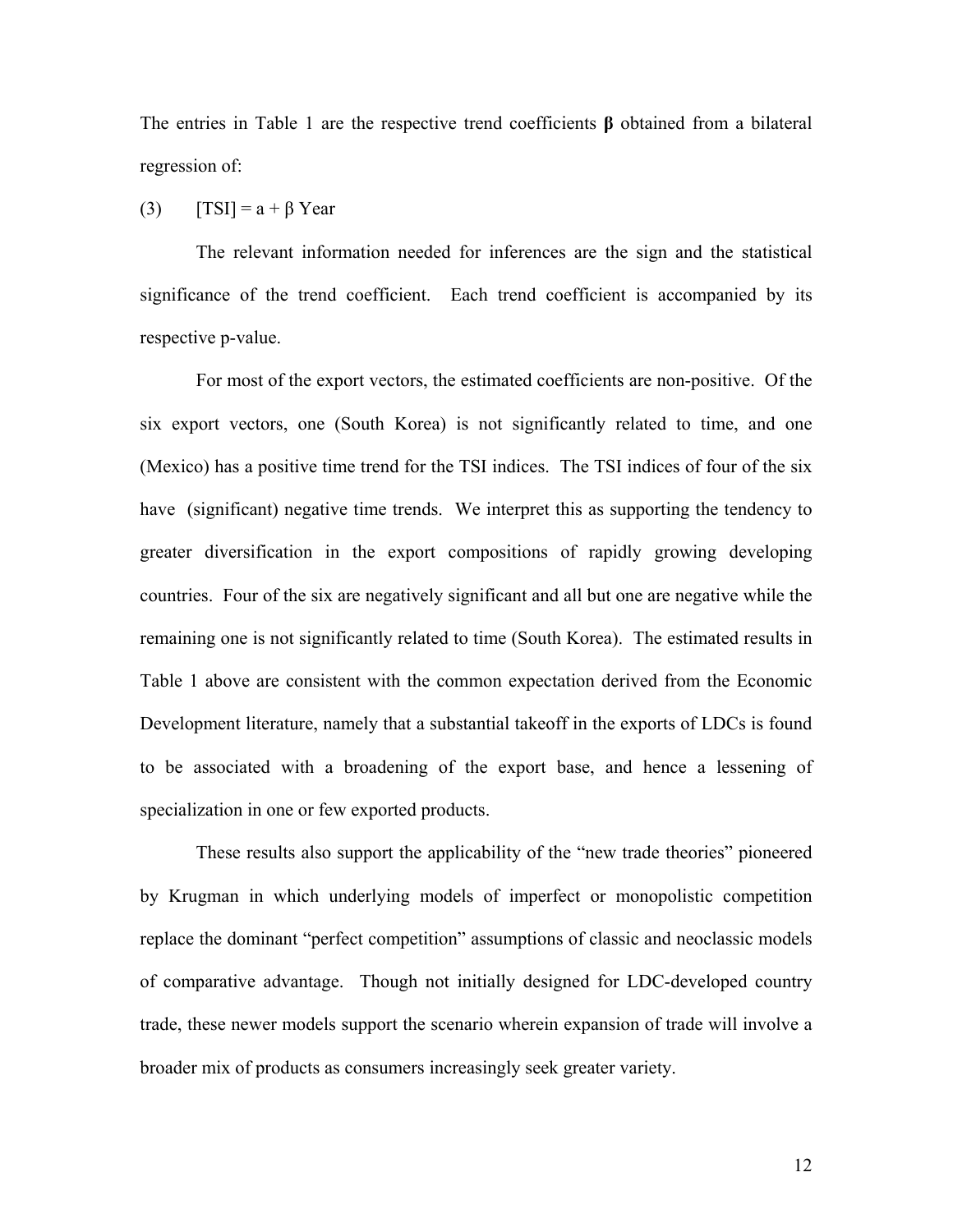The entries in Table 1 are the respective trend coefficients **β** obtained from a bilateral regression of:

## (3)  $[TSI] = a + \beta$  Year

The relevant information needed for inferences are the sign and the statistical significance of the trend coefficient. Each trend coefficient is accompanied by its respective p-value.

For most of the export vectors, the estimated coefficients are non-positive. Of the six export vectors, one (South Korea) is not significantly related to time, and one (Mexico) has a positive time trend for the TSI indices. The TSI indices of four of the six have (significant) negative time trends. We interpret this as supporting the tendency to greater diversification in the export compositions of rapidly growing developing countries. Four of the six are negatively significant and all but one are negative while the remaining one is not significantly related to time (South Korea). The estimated results in Table 1 above are consistent with the common expectation derived from the Economic Development literature, namely that a substantial takeoff in the exports of LDCs is found to be associated with a broadening of the export base, and hence a lessening of specialization in one or few exported products.

These results also support the applicability of the "new trade theories" pioneered by Krugman in which underlying models of imperfect or monopolistic competition replace the dominant "perfect competition" assumptions of classic and neoclassic models of comparative advantage. Though not initially designed for LDC-developed country trade, these newer models support the scenario wherein expansion of trade will involve a broader mix of products as consumers increasingly seek greater variety.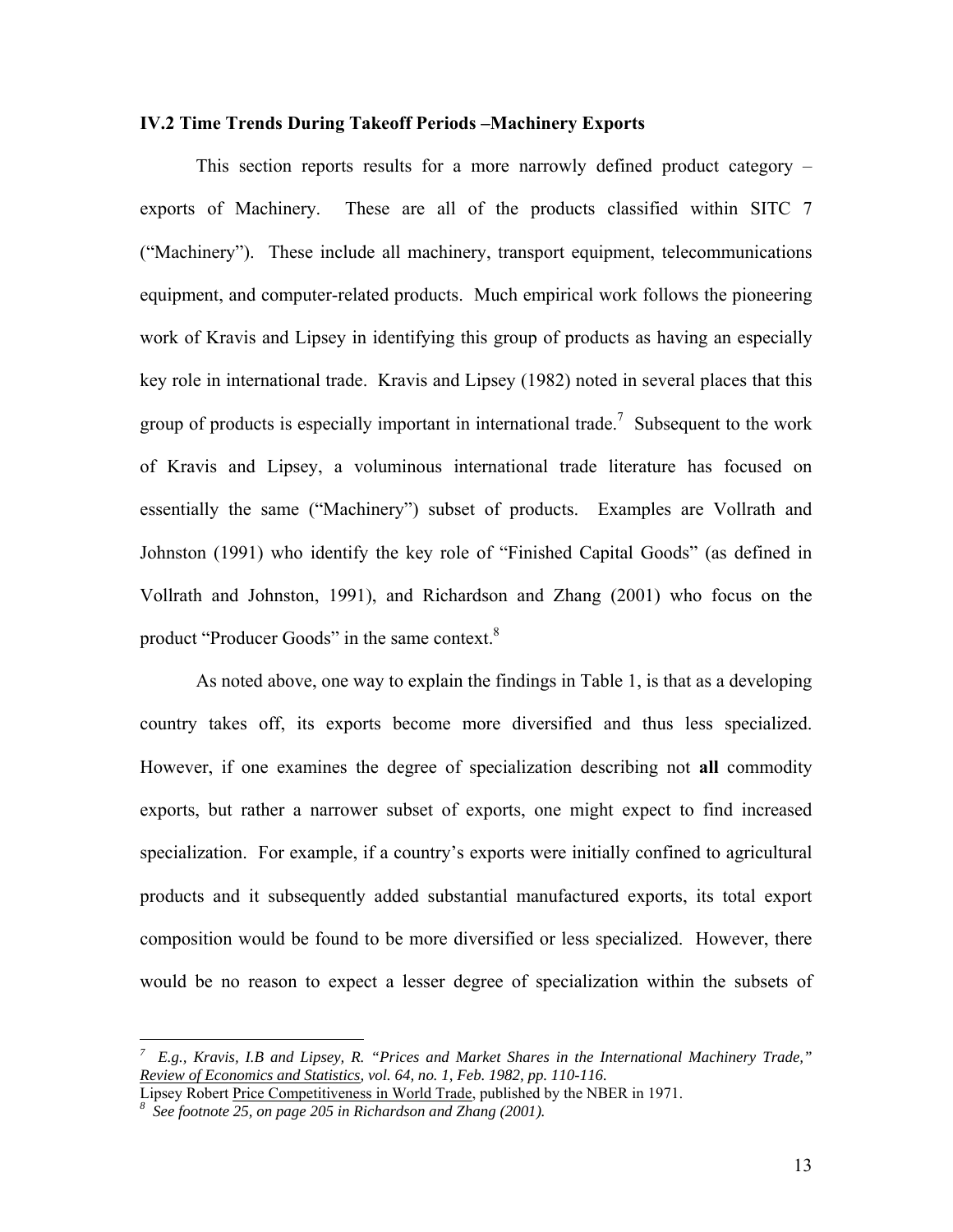#### **IV.2 Time Trends During Takeoff Periods –Machinery Exports**

This section reports results for a more narrowly defined product category – exports of Machinery. These are all of the products classified within SITC 7 ("Machinery"). These include all machinery, transport equipment, telecommunications equipment, and computer-related products. Much empirical work follows the pioneering work of Kravis and Lipsey in identifying this group of products as having an especially key role in international trade. Kravis and Lipsey (1982) noted in several places that this group of products is especially important in international trade.<sup>7</sup> Subsequent to the work of Kravis and Lipsey, a voluminous international trade literature has focused on essentially the same ("Machinery") subset of products. Examples are Vollrath and Johnston (1991) who identify the key role of "Finished Capital Goods" (as defined in Vollrath and Johnston, 1991), and Richardson and Zhang (2001) who focus on the product "Producer Goods" in the same context.<sup>8</sup>

As noted above, one way to explain the findings in Table 1, is that as a developing country takes off, its exports become more diversified and thus less specialized. However, if one examines the degree of specialization describing not **all** commodity exports, but rather a narrower subset of exports, one might expect to find increased specialization. For example, if a country's exports were initially confined to agricultural products and it subsequently added substantial manufactured exports, its total export composition would be found to be more diversified or less specialized. However, there would be no reason to expect a lesser degree of specialization within the subsets of

 $\overline{a}$ 

*<sup>7</sup> E.g., Kravis, I.B and Lipsey, R. "Prices and Market Shares in the International Machinery Trade," Review of Economics and Statistics, vol. 64, no. 1, Feb. 1982, pp. 110-116.* 

Lipsey Robert Price Competitiveness in World Trade, published by the NBER in 1971.

*See footnote 25, on page 205 in Richardson and Zhang (2001).*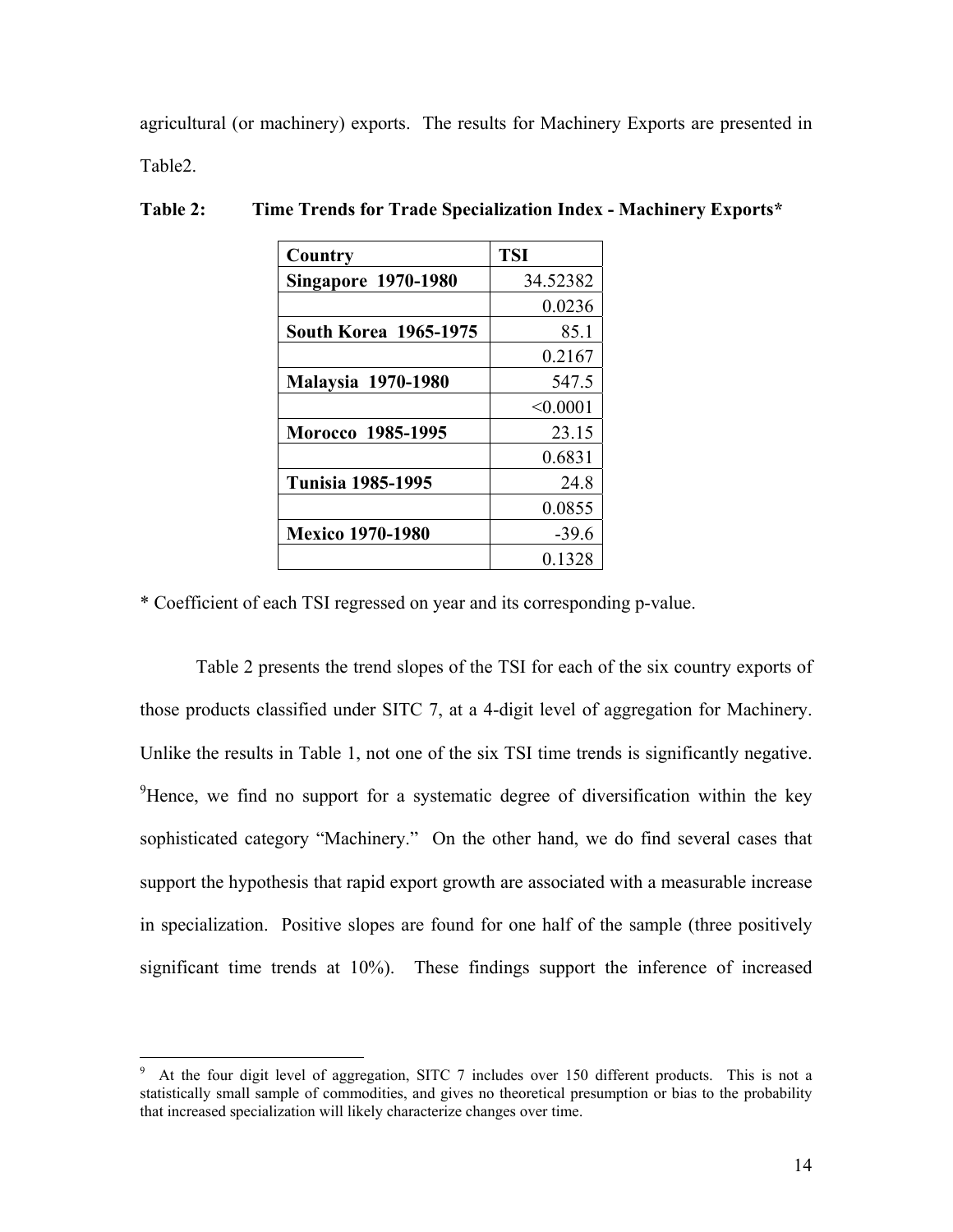agricultural (or machinery) exports. The results for Machinery Exports are presented in Table2.

| Country                      | <b>TSI</b> |
|------------------------------|------------|
| <b>Singapore 1970-1980</b>   | 34.52382   |
|                              | 0.0236     |
| <b>South Korea 1965-1975</b> | 85.1       |
|                              | 0.2167     |
| <b>Malaysia 1970-1980</b>    | 547.5      |
|                              | < 0.0001   |
| Morocco 1985-1995            | 23.15      |
|                              | 0.6831     |
| <b>Tunisia 1985-1995</b>     | 24.8       |
|                              | 0.0855     |
| <b>Mexico 1970-1980</b>      | $-39.6$    |
|                              | 0.1328     |

**Table 2: Time Trends for Trade Specialization Index - Machinery Exports\*** 

\* Coefficient of each TSI regressed on year and its corresponding p-value.

Table 2 presents the trend slopes of the TSI for each of the six country exports of those products classified under SITC 7, at a 4-digit level of aggregation for Machinery. Unlike the results in Table 1, not one of the six TSI time trends is significantly negative. <sup>9</sup>Hence, we find no support for a systematic degree of diversification within the key sophisticated category "Machinery." On the other hand, we do find several cases that support the hypothesis that rapid export growth are associated with a measurable increase in specialization. Positive slopes are found for one half of the sample (three positively significant time trends at 10%). These findings support the inference of increased

 $\overline{a}$ 

<sup>9</sup> At the four digit level of aggregation, SITC 7 includes over 150 different products. This is not a statistically small sample of commodities, and gives no theoretical presumption or bias to the probability that increased specialization will likely characterize changes over time.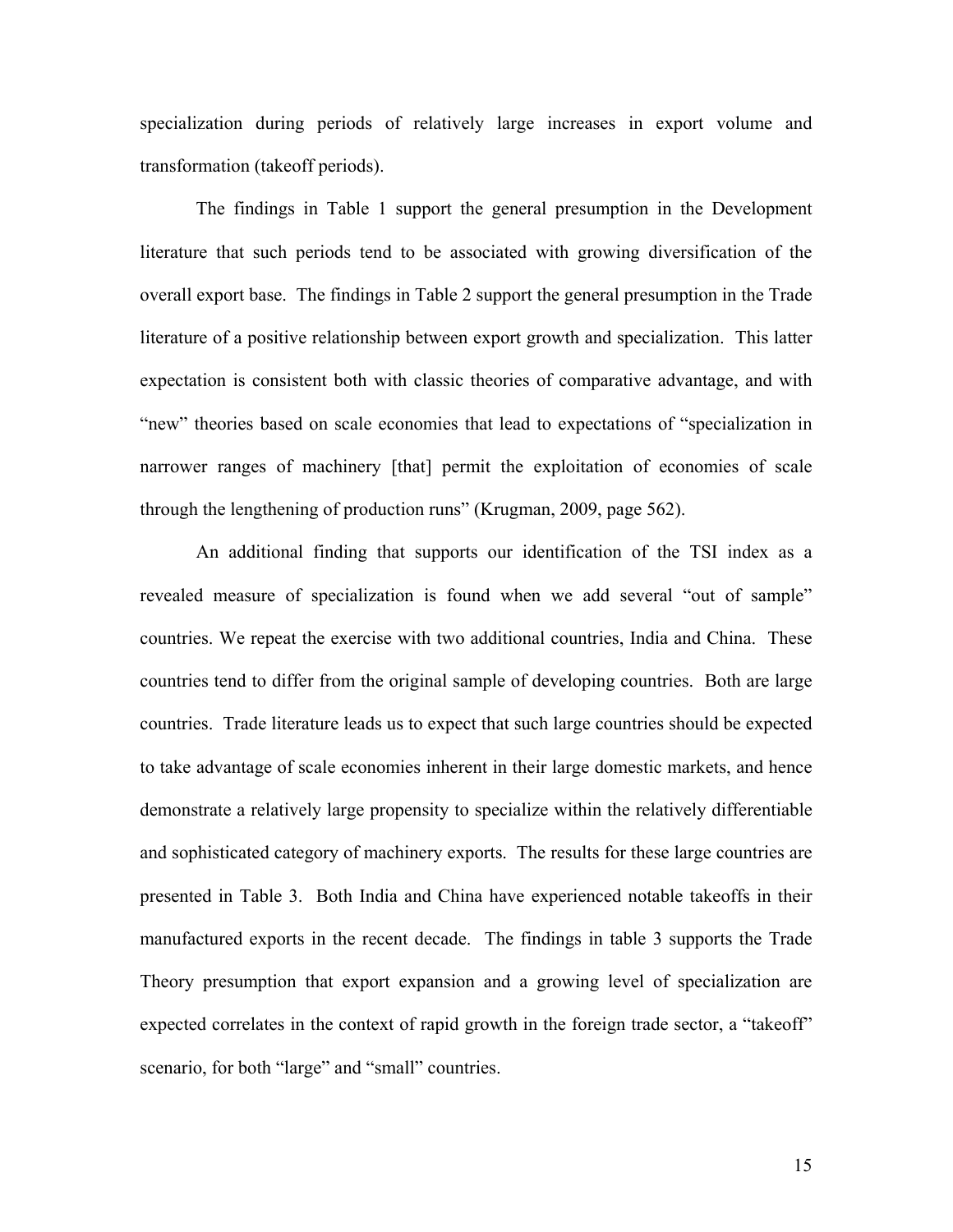specialization during periods of relatively large increases in export volume and transformation (takeoff periods).

 The findings in Table 1 support the general presumption in the Development literature that such periods tend to be associated with growing diversification of the overall export base. The findings in Table 2 support the general presumption in the Trade literature of a positive relationship between export growth and specialization. This latter expectation is consistent both with classic theories of comparative advantage, and with "new" theories based on scale economies that lead to expectations of "specialization in narrower ranges of machinery [that] permit the exploitation of economies of scale through the lengthening of production runs" (Krugman, 2009, page 562).

An additional finding that supports our identification of the TSI index as a revealed measure of specialization is found when we add several "out of sample" countries. We repeat the exercise with two additional countries, India and China. These countries tend to differ from the original sample of developing countries. Both are large countries. Trade literature leads us to expect that such large countries should be expected to take advantage of scale economies inherent in their large domestic markets, and hence demonstrate a relatively large propensity to specialize within the relatively differentiable and sophisticated category of machinery exports. The results for these large countries are presented in Table 3. Both India and China have experienced notable takeoffs in their manufactured exports in the recent decade. The findings in table 3 supports the Trade Theory presumption that export expansion and a growing level of specialization are expected correlates in the context of rapid growth in the foreign trade sector, a "takeoff" scenario, for both "large" and "small" countries.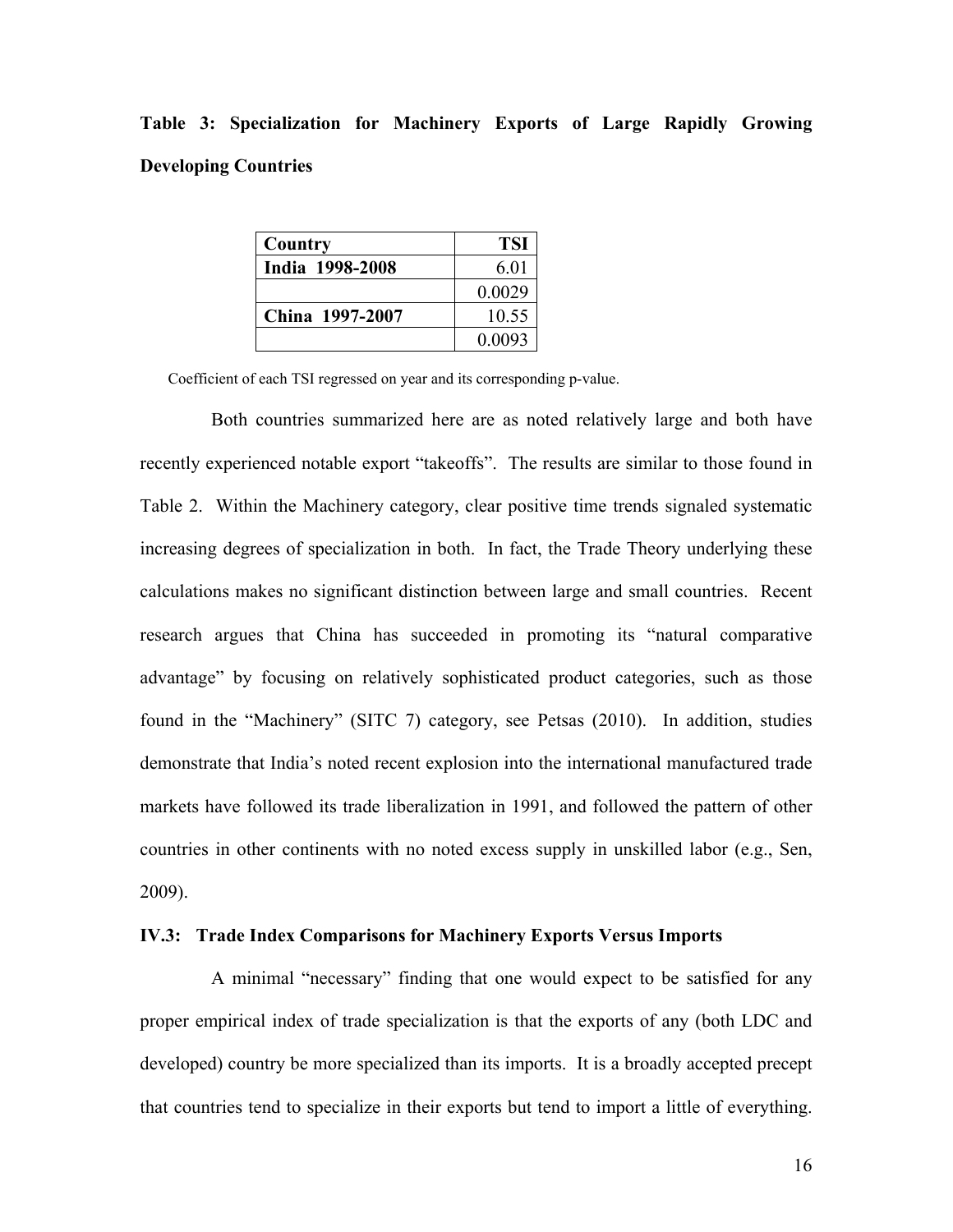**Table 3: Specialization for Machinery Exports of Large Rapidly Growing Developing Countries**

| Country         | <b>TSI</b> |
|-----------------|------------|
| India 1998-2008 | 6.01       |
|                 | 0.0029     |
| China 1997-2007 | 10.55      |
|                 | 0.0093     |

Coefficient of each TSI regressed on year and its corresponding p-value.

 Both countries summarized here are as noted relatively large and both have recently experienced notable export "takeoffs". The results are similar to those found in Table 2. Within the Machinery category, clear positive time trends signaled systematic increasing degrees of specialization in both. In fact, the Trade Theory underlying these calculations makes no significant distinction between large and small countries. Recent research argues that China has succeeded in promoting its "natural comparative advantage" by focusing on relatively sophisticated product categories, such as those found in the "Machinery" (SITC 7) category, see Petsas (2010). In addition, studies demonstrate that India's noted recent explosion into the international manufactured trade markets have followed its trade liberalization in 1991, and followed the pattern of other countries in other continents with no noted excess supply in unskilled labor (e.g., Sen, 2009).

### **IV.3: Trade Index Comparisons for Machinery Exports Versus Imports**

A minimal "necessary" finding that one would expect to be satisfied for any proper empirical index of trade specialization is that the exports of any (both LDC and developed) country be more specialized than its imports. It is a broadly accepted precept that countries tend to specialize in their exports but tend to import a little of everything.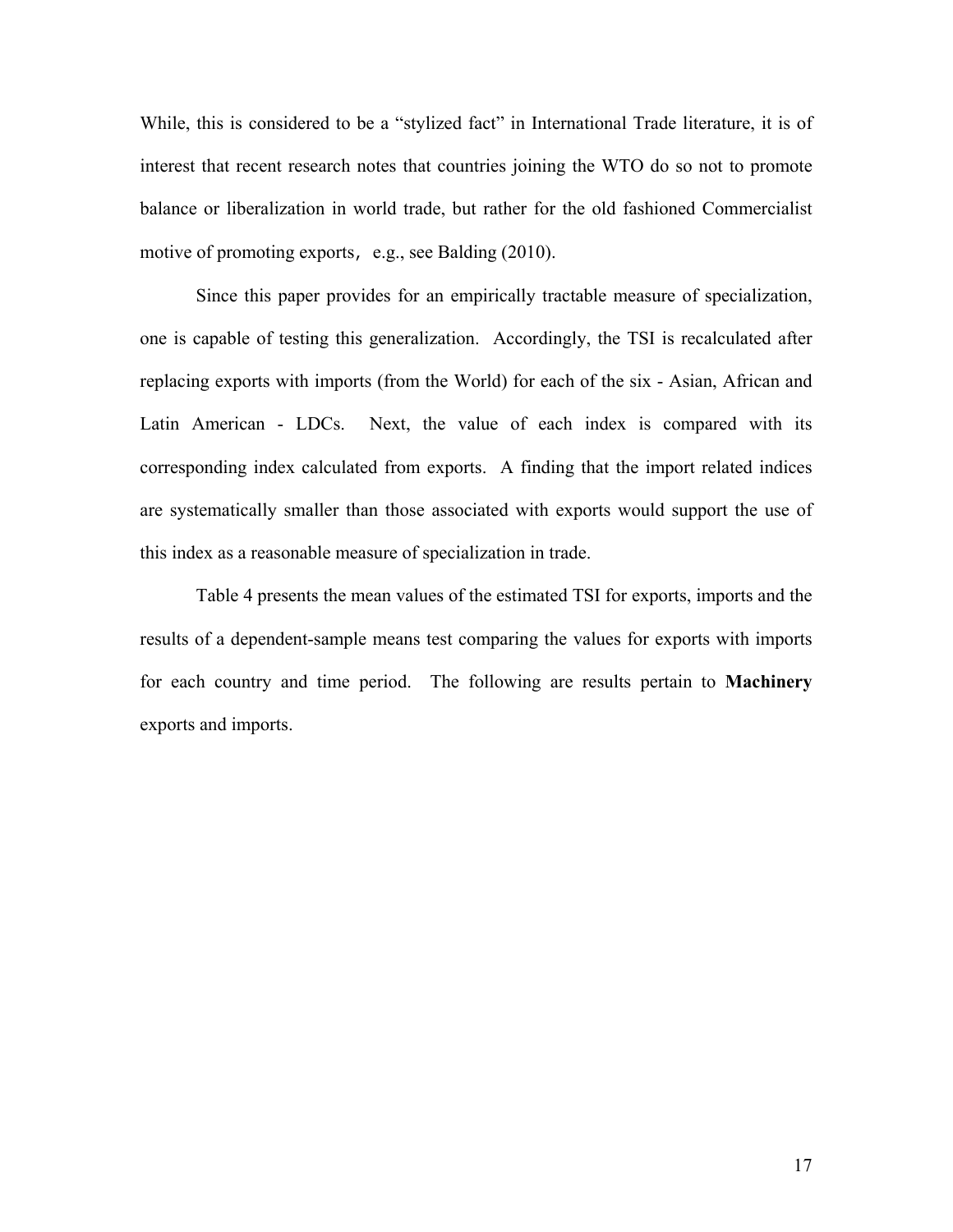While, this is considered to be a "stylized fact" in International Trade literature, it is of interest that recent research notes that countries joining the WTO do so not to promote balance or liberalization in world trade, but rather for the old fashioned Commercialist motive of promoting exports, e.g., see Balding (2010).

Since this paper provides for an empirically tractable measure of specialization, one is capable of testing this generalization. Accordingly, the TSI is recalculated after replacing exports with imports (from the World) for each of the six - Asian, African and Latin American - LDCs. Next, the value of each index is compared with its corresponding index calculated from exports. A finding that the import related indices are systematically smaller than those associated with exports would support the use of this index as a reasonable measure of specialization in trade.

Table 4 presents the mean values of the estimated TSI for exports, imports and the results of a dependent-sample means test comparing the values for exports with imports for each country and time period. The following are results pertain to **Machinery**  exports and imports.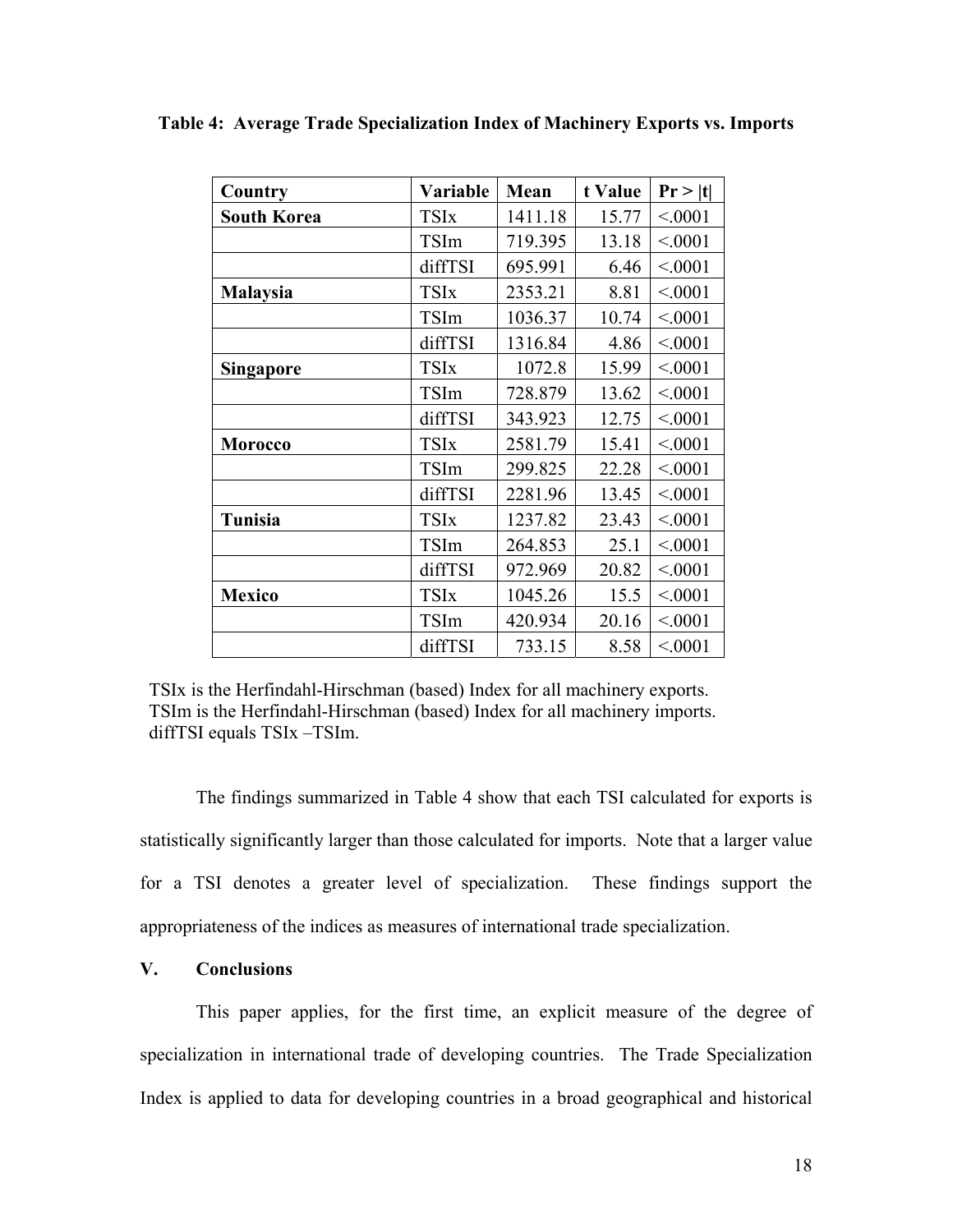| Country            | Variable    | Mean    | t Value | Pr >  t |
|--------------------|-------------|---------|---------|---------|
| <b>South Korea</b> | <b>TSIx</b> | 1411.18 | 15.77   | < 0001  |
|                    | TSIm        | 719.395 | 13.18   | < 0001  |
|                    | diffTSI     | 695.991 | 6.46    | < 0001  |
| <b>Malaysia</b>    | <b>TSIx</b> | 2353.21 | 8.81    | < 0001  |
|                    | <b>TSIm</b> | 1036.37 | 10.74   | < 0001  |
|                    | diffTSI     | 1316.84 | 4.86    | < 0001  |
| <b>Singapore</b>   | <b>TSIx</b> | 1072.8  | 15.99   | < 0001  |
|                    | TSIm        | 728.879 | 13.62   | < 0001  |
|                    | diffTSI     | 343.923 | 12.75   | < 0001  |
| <b>Morocco</b>     | <b>TSIx</b> | 2581.79 | 15.41   | < 0001  |
|                    | TSIm        | 299.825 | 22.28   | < 0001  |
|                    | diffTSI     | 2281.96 | 13.45   | < 0001  |
| Tunisia            | <b>TSIx</b> | 1237.82 | 23.43   | < 0001  |
|                    | TSIm        | 264.853 | 25.1    | < 0001  |
|                    | diffTSI     | 972.969 | 20.82   | < 0001  |
| <b>Mexico</b>      | <b>TSIx</b> | 1045.26 | 15.5    | < 0001  |
|                    | TSIm        | 420.934 | 20.16   | < 0001  |
|                    | diffTSI     | 733.15  | 8.58    | < 0001  |

**Table 4: Average Trade Specialization Index of Machinery Exports vs. Imports** 

TSIx is the Herfindahl-Hirschman (based) Index for all machinery exports. TSIm is the Herfindahl-Hirschman (based) Index for all machinery imports. diffTSI equals TSIx –TSIm.

The findings summarized in Table 4 show that each TSI calculated for exports is statistically significantly larger than those calculated for imports. Note that a larger value for a TSI denotes a greater level of specialization. These findings support the appropriateness of the indices as measures of international trade specialization.

# **V. Conclusions**

 This paper applies, for the first time, an explicit measure of the degree of specialization in international trade of developing countries. The Trade Specialization Index is applied to data for developing countries in a broad geographical and historical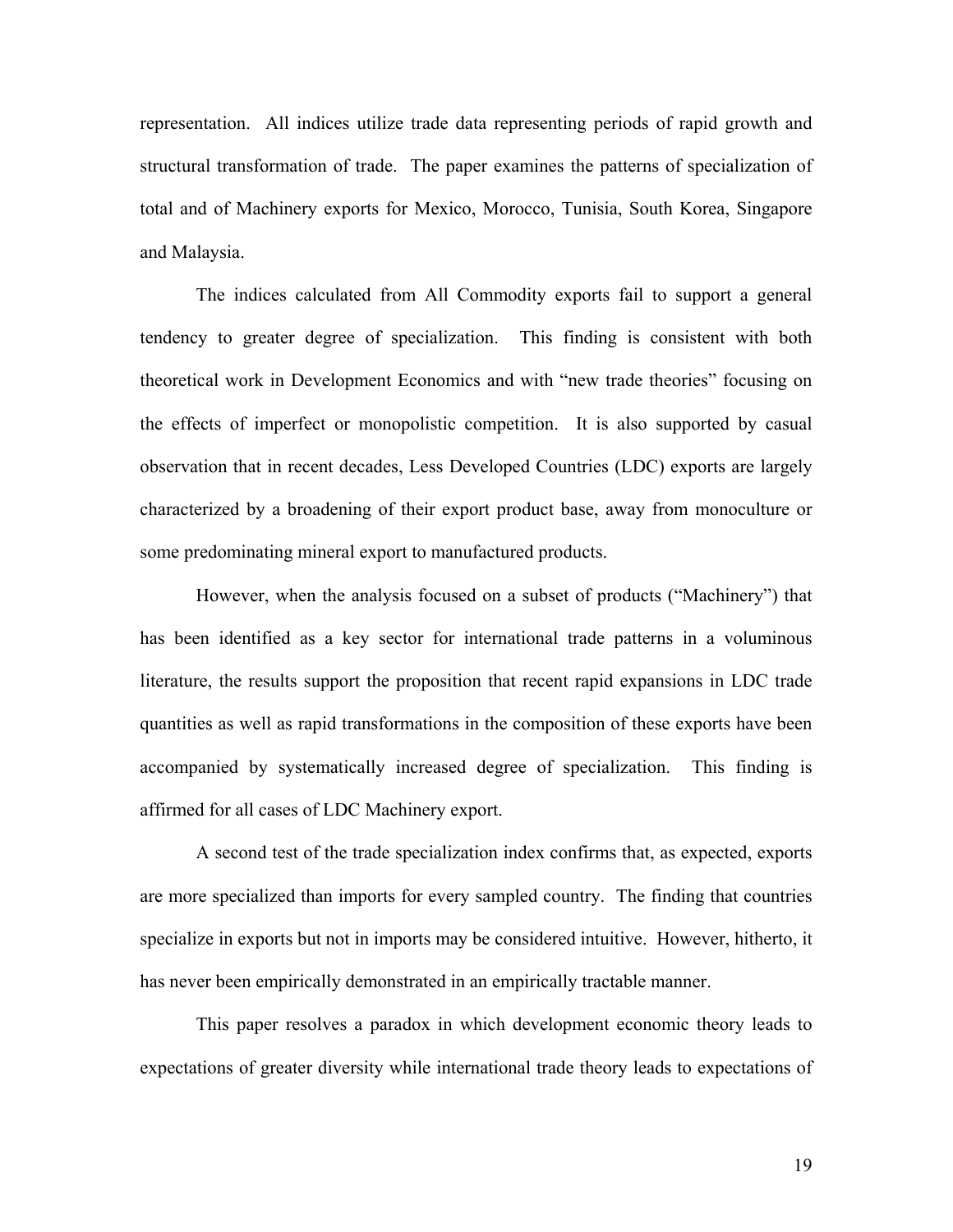representation. All indices utilize trade data representing periods of rapid growth and structural transformation of trade. The paper examines the patterns of specialization of total and of Machinery exports for Mexico, Morocco, Tunisia, South Korea, Singapore and Malaysia.

The indices calculated from All Commodity exports fail to support a general tendency to greater degree of specialization. This finding is consistent with both theoretical work in Development Economics and with "new trade theories" focusing on the effects of imperfect or monopolistic competition. It is also supported by casual observation that in recent decades, Less Developed Countries (LDC) exports are largely characterized by a broadening of their export product base, away from monoculture or some predominating mineral export to manufactured products.

However, when the analysis focused on a subset of products ("Machinery") that has been identified as a key sector for international trade patterns in a voluminous literature, the results support the proposition that recent rapid expansions in LDC trade quantities as well as rapid transformations in the composition of these exports have been accompanied by systematically increased degree of specialization. This finding is affirmed for all cases of LDC Machinery export.

A second test of the trade specialization index confirms that, as expected, exports are more specialized than imports for every sampled country. The finding that countries specialize in exports but not in imports may be considered intuitive. However, hitherto, it has never been empirically demonstrated in an empirically tractable manner.

This paper resolves a paradox in which development economic theory leads to expectations of greater diversity while international trade theory leads to expectations of

19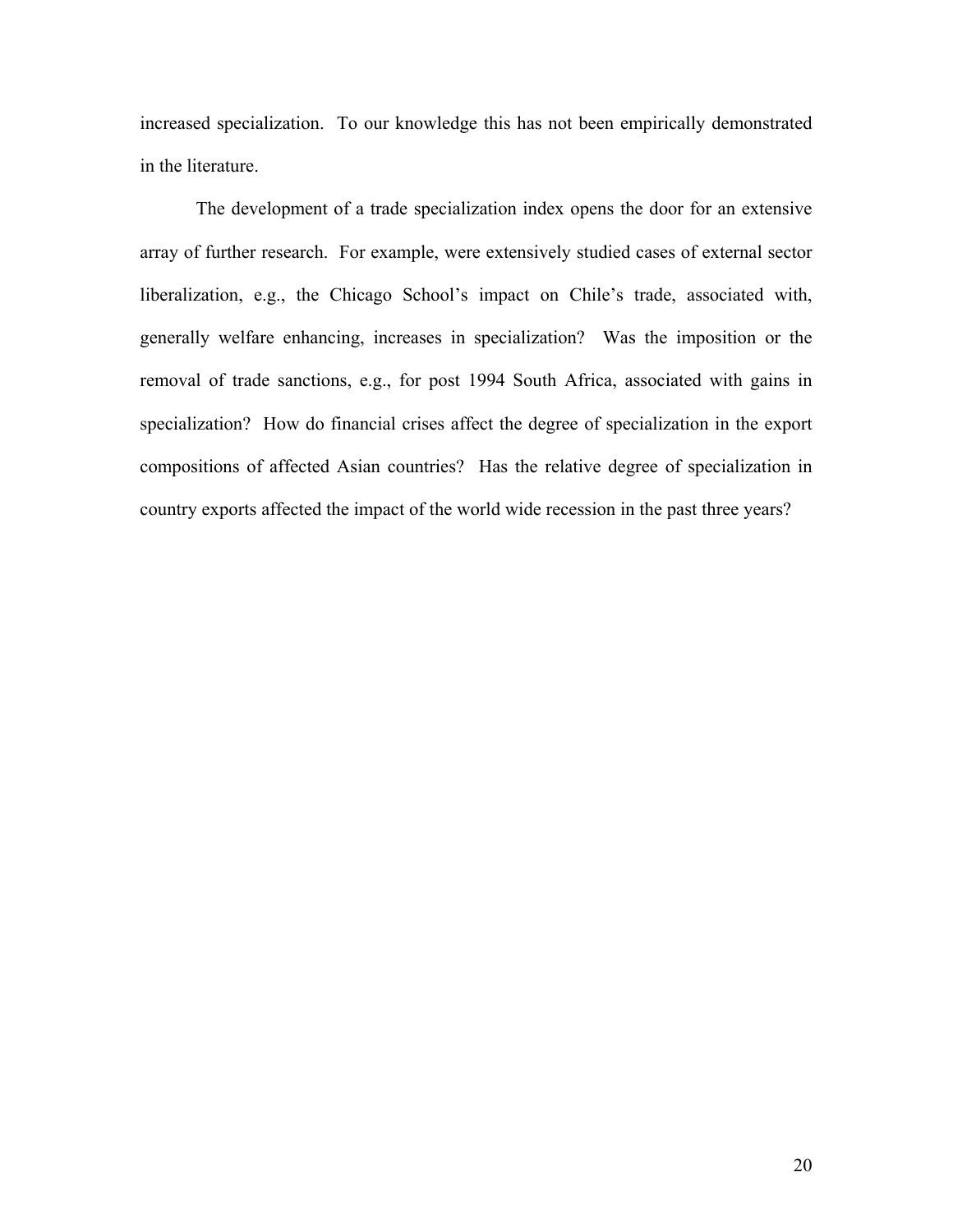increased specialization. To our knowledge this has not been empirically demonstrated in the literature.

The development of a trade specialization index opens the door for an extensive array of further research. For example, were extensively studied cases of external sector liberalization, e.g., the Chicago School's impact on Chile's trade, associated with, generally welfare enhancing, increases in specialization? Was the imposition or the removal of trade sanctions, e.g., for post 1994 South Africa, associated with gains in specialization? How do financial crises affect the degree of specialization in the export compositions of affected Asian countries? Has the relative degree of specialization in country exports affected the impact of the world wide recession in the past three years?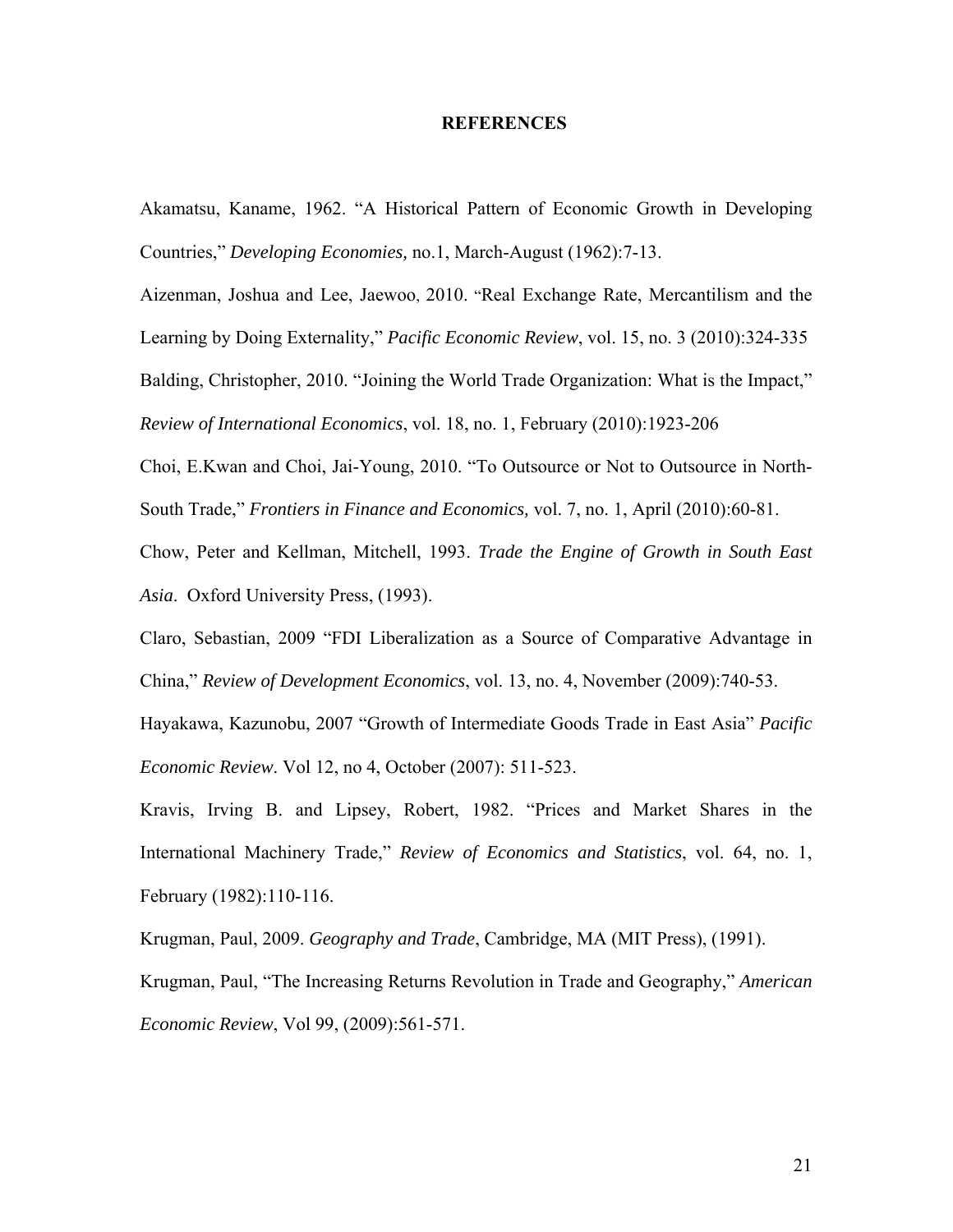#### **REFERENCES**

Akamatsu, Kaname, 1962. "A Historical Pattern of Economic Growth in Developing Countries," *Developing Economies,* no.1, March-August (1962):7-13.

Aizenman, Joshua and Lee, Jaewoo, 2010. "Real Exchange Rate, Mercantilism and the

Learning by Doing Externality," *Pacific Economic Review*, vol. 15, no. 3 (2010):324-335

Balding, Christopher, 2010. "Joining the World Trade Organization: What is the Impact,"

*Review of International Economics*, vol. 18, no. 1, February (2010):1923-206

Choi, E.Kwan and Choi, Jai-Young, 2010. "To Outsource or Not to Outsource in North-South Trade," *Frontiers in Finance and Economics,* vol. 7, no. 1, April (2010):60-81.

Chow, Peter and Kellman, Mitchell, 1993. *Trade the Engine of Growth in South East Asia*. Oxford University Press, (1993).

Claro, Sebastian, 2009 "FDI Liberalization as a Source of Comparative Advantage in China," *Review of Development Economics*, vol. 13, no. 4, November (2009):740-53.

Hayakawa, Kazunobu, 2007 "Growth of Intermediate Goods Trade in East Asia" *Pacific Economic Review*. Vol 12, no 4, October (2007): 511-523.

Kravis, Irving B. and Lipsey, Robert, 1982. "Prices and Market Shares in the International Machinery Trade," *Review of Economics and Statistics*, vol. 64, no. 1, February (1982):110-116.

Krugman, Paul, 2009. *Geography and Trade*, Cambridge, MA (MIT Press), (1991).

Krugman, Paul, "The Increasing Returns Revolution in Trade and Geography," *American Economic Review*, Vol 99, (2009):561-571.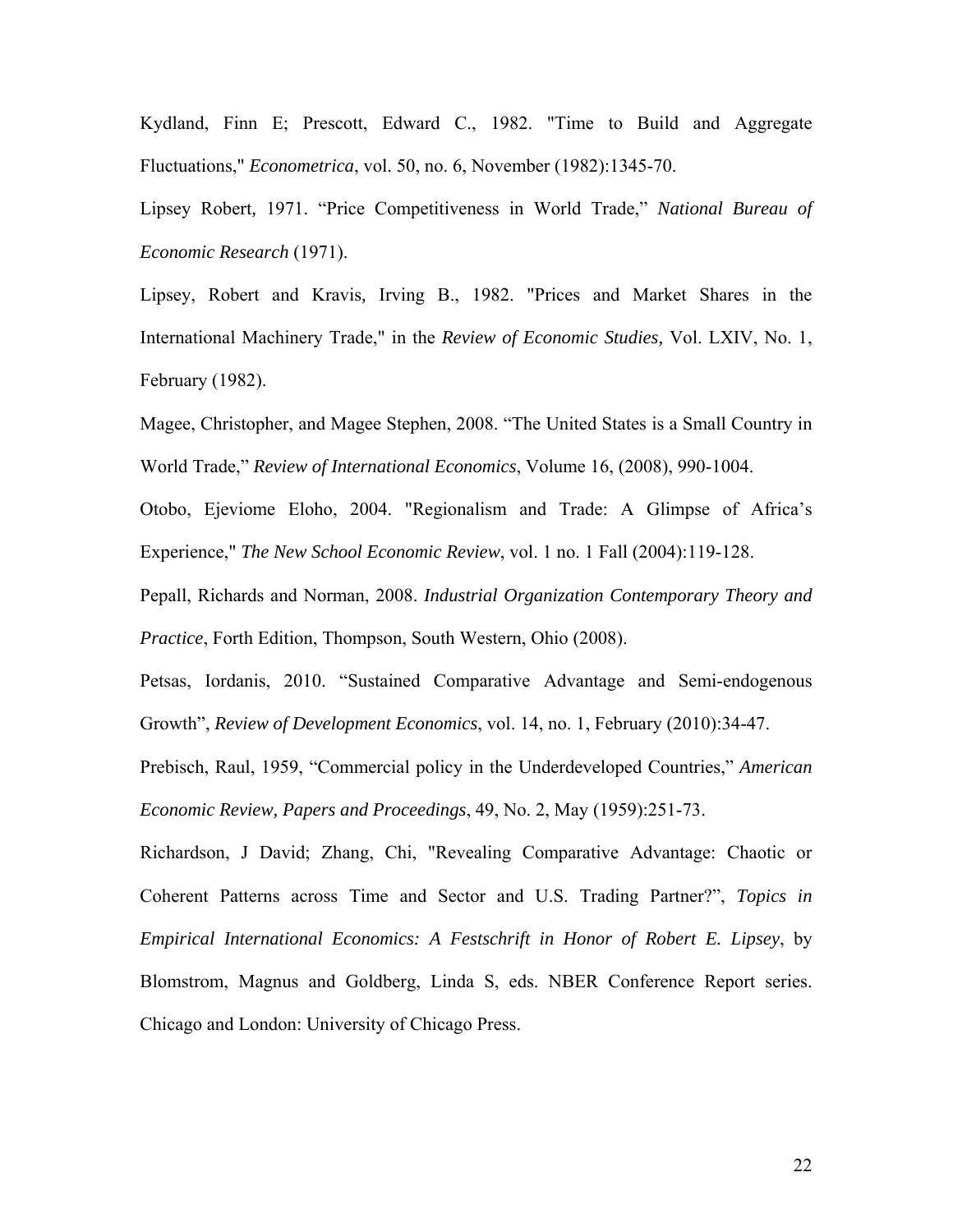Kydland, Finn E; Prescott, Edward C., 1982. "Time to Build and Aggregate Fluctuations," *Econometrica*, vol. 50, no. 6, November (1982):1345-70.

Lipsey Robert*,* 1971. "Price Competitiveness in World Trade," *National Bureau of Economic Research* (1971).

Lipsey, Robert and Kravis*,* Irving B., 1982. "Prices and Market Shares in the International Machinery Trade," in the *Review of Economic Studies,* Vol. LXIV, No. 1, February (1982).

Magee, Christopher, and Magee Stephen, 2008. "The United States is a Small Country in World Trade," *Review of International Economics*, Volume 16, (2008), 990-1004.

Otobo, Ejeviome Eloho, 2004. "Regionalism and Trade: A Glimpse of Africa's Experience," *The New School Economic Review*, vol. 1 no. 1 Fall (2004):119-128.

Pepall, Richards and Norman, 2008. *Industrial Organization Contemporary Theory and Practice*, Forth Edition, Thompson, South Western, Ohio (2008).

Petsas, Iordanis, 2010. "Sustained Comparative Advantage and Semi-endogenous Growth", *Review of Development Economics*, vol. 14, no. 1, February (2010):34-47.

Prebisch, Raul, 1959, "Commercial policy in the Underdeveloped Countries," *American Economic Review, Papers and Proceedings*, 49, No. 2, May (1959):251-73.

Richardson, J David; Zhang, Chi, "Revealing Comparative Advantage: Chaotic or Coherent Patterns across Time and Sector and U.S. Trading Partner?", *Topics in Empirical International Economics: A Festschrift in Honor of Robert E. Lipsey*, by Blomstrom, Magnus and Goldberg, Linda S, eds. NBER Conference Report series. Chicago and London: University of Chicago Press.